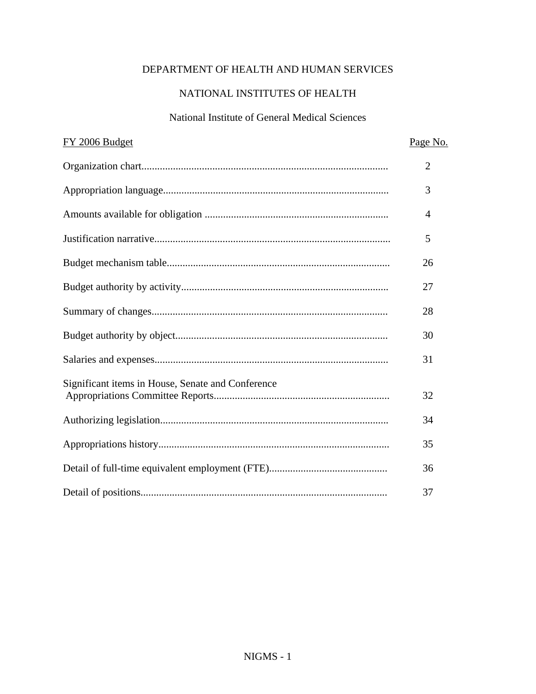# DEPARTMENT OF HEALTH AND HUMAN SERVICES

# NATIONAL INSTITUTES OF HEALTH

## National Institute of General Medical Sciences

| FY 2006 Budget                                    | Page No.       |
|---------------------------------------------------|----------------|
|                                                   | $\overline{2}$ |
|                                                   | 3              |
|                                                   | $\overline{4}$ |
|                                                   | 5              |
|                                                   | 26             |
|                                                   | 27             |
|                                                   | 28             |
|                                                   | 30             |
|                                                   | 31             |
| Significant items in House, Senate and Conference | 32             |
|                                                   | 34             |
|                                                   | 35             |
|                                                   | 36             |
|                                                   | 37             |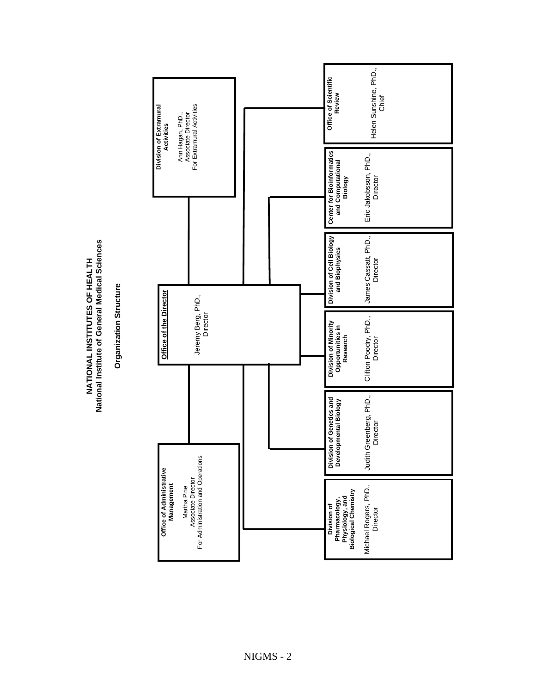**ces INSTITUTES OF HEALTH cal Scien ieral Med Gen f e o NATIONAL tstitu l InanNatio**

 **Structure** <u>ទី</u> **niza Orga**

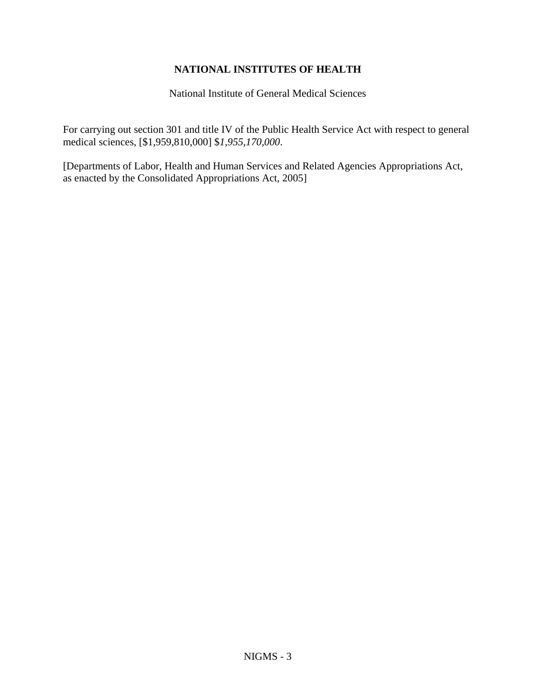## **NATIONAL INSTITUTES OF HEALTH**

National Institute of General Medical Sciences

For carrying out section 301 and title IV of the Public Health Service Act with respect to general medical sciences, [\$1,959,810,000] \$*1,955,170,000*.

[Departments of Labor, Health and Human Services and Related Agencies Appropriations Act, as enacted by the Consolidated Appropriations Act, 2005]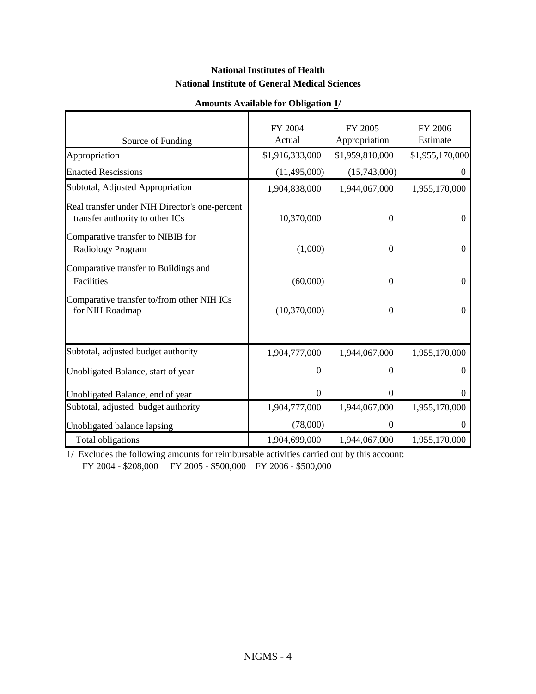#### **National Institutes of Health National Institute of General Medical Sciences**

| Source of Funding                                                                 | FY 2004<br>Actual | FY 2005<br>Appropriation | FY 2006<br>Estimate |
|-----------------------------------------------------------------------------------|-------------------|--------------------------|---------------------|
| Appropriation                                                                     | \$1,916,333,000   | \$1,959,810,000          | \$1,955,170,000     |
| <b>Enacted Rescissions</b>                                                        | (11, 495, 000)    | (15,743,000)             | 0                   |
| Subtotal, Adjusted Appropriation                                                  | 1,904,838,000     | 1,944,067,000            | 1,955,170,000       |
| Real transfer under NIH Director's one-percent<br>transfer authority to other ICs | 10,370,000        | $\Omega$                 | $\Omega$            |
| Comparative transfer to NIBIB for<br>Radiology Program                            | (1,000)           | $\theta$                 | $\Omega$            |
| Comparative transfer to Buildings and<br>Facilities                               | (60,000)          | $\theta$                 | $\boldsymbol{0}$    |
| Comparative transfer to/from other NIH ICs<br>for NIH Roadmap                     | (10,370,000)      | $\theta$                 | $\theta$            |
| Subtotal, adjusted budget authority                                               | 1,904,777,000     | 1,944,067,000            | 1,955,170,000       |
| Unobligated Balance, start of year                                                | $\overline{0}$    | $\Omega$                 | $\Omega$            |
| Unobligated Balance, end of year                                                  | $\theta$          | $\Omega$                 | $\theta$            |
| Subtotal, adjusted budget authority                                               | 1,904,777,000     | 1,944,067,000            | 1,955,170,000       |
| Unobligated balance lapsing                                                       | (78,000)          | $\overline{0}$           |                     |
| Total obligations                                                                 | 1,904,699,000     | 1,944,067,000            | 1,955,170,000       |

#### **Amounts Available for Obligation 1/**

 $\frac{1}{2}$  Excludes the following amounts for reimbursable activities carried out by this account: FY 2004 - \$208,000 FY 2005 - \$500,000 FY 2006 - \$500,000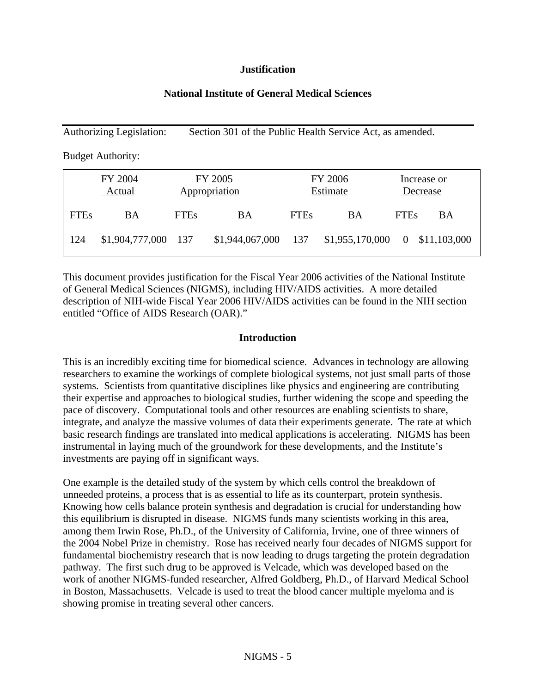#### **Justification**

#### **National Institute of General Medical Sciences**

Authorizing Legislation: Section 301 of the Public Health Service Act, as amended.

Budget Authority:

|             | FY 2004<br>Actual   |             | FY 2005<br>Appropriation |             | <b>FY 2006</b><br>Estimate |             | Increase or<br>Decrease |
|-------------|---------------------|-------------|--------------------------|-------------|----------------------------|-------------|-------------------------|
| <b>FTEs</b> | <u>BA</u>           | <b>FTEs</b> | <u>BA</u>                | <b>FTEs</b> | <u>BA</u>                  | <b>FTEs</b> | ВA                      |
| 124         | \$1,904,777,000 137 |             | \$1,944,067,000 137      |             | \$1,955,170,000            |             | 0 \$11,103,000          |

This document provides justification for the Fiscal Year 2006 activities of the National Institute of General Medical Sciences (NIGMS), including HIV/AIDS activities. A more detailed description of NIH-wide Fiscal Year 2006 HIV/AIDS activities can be found in the NIH section entitled "Office of AIDS Research (OAR)."

#### **Introduction**

This is an incredibly exciting time for biomedical science. Advances in technology are allowing researchers to examine the workings of complete biological systems, not just small parts of those systems. Scientists from quantitative disciplines like physics and engineering are contributing their expertise and approaches to biological studies, further widening the scope and speeding the pace of discovery. Computational tools and other resources are enabling scientists to share, integrate, and analyze the massive volumes of data their experiments generate. The rate at which basic research findings are translated into medical applications is accelerating. NIGMS has been instrumental in laying much of the groundwork for these developments, and the Institute's investments are paying off in significant ways.

One example is the detailed study of the system by which cells control the breakdown of unneeded proteins, a process that is as essential to life as its counterpart, protein synthesis. Knowing how cells balance protein synthesis and degradation is crucial for understanding how this equilibrium is disrupted in disease. NIGMS funds many scientists working in this area, among them Irwin Rose, Ph.D., of the University of California, Irvine, one of three winners of the 2004 Nobel Prize in chemistry. Rose has received nearly four decades of NIGMS support for fundamental biochemistry research that is now leading to drugs targeting the protein degradation pathway. The first such drug to be approved is Velcade, which was developed based on the work of another NIGMS-funded researcher, Alfred Goldberg, Ph.D., of Harvard Medical School in Boston, Massachusetts. Velcade is used to treat the blood cancer multiple myeloma and is showing promise in treating several other cancers.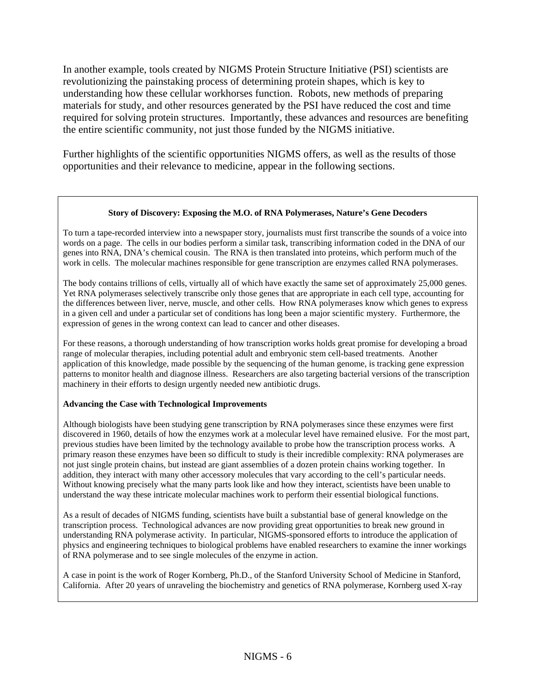In another example, tools created by NIGMS Protein Structure Initiative (PSI) scientists are revolutionizing the painstaking process of determining protein shapes, which is key to understanding how these cellular workhorses function. Robots, new methods of preparing materials for study, and other resources generated by the PSI have reduced the cost and time required for solving protein structures. Importantly, these advances and resources are benefiting the entire scientific community, not just those funded by the NIGMS initiative.

Further highlights of the scientific opportunities NIGMS offers, as well as the results of those opportunities and their relevance to medicine, appear in the following sections.

#### **Story of Discovery: Exposing the M.O. of RNA Polymerases, Nature's Gene Decoders**

To turn a tape-recorded interview into a newspaper story, journalists must first transcribe the sounds of a voice into words on a page. The cells in our bodies perform a similar task, transcribing information coded in the DNA of our genes into RNA, DNA's chemical cousin. The RNA is then translated into proteins, which perform much of the work in cells. The molecular machines responsible for gene transcription are enzymes called RNA polymerases.

The body contains trillions of cells, virtually all of which have exactly the same set of approximately 25,000 genes. Yet RNA polymerases selectively transcribe only those genes that are appropriate in each cell type, accounting for the differences between liver, nerve, muscle, and other cells. How RNA polymerases know which genes to express in a given cell and under a particular set of conditions has long been a major scientific mystery. Furthermore, the expression of genes in the wrong context can lead to cancer and other diseases.

For these reasons, a thorough understanding of how transcription works holds great promise for developing a broad range of molecular therapies, including potential adult and embryonic stem cell-based treatments. Another application of this knowledge, made possible by the sequencing of the human genome, is tracking gene expression patterns to monitor health and diagnose illness. Researchers are also targeting bacterial versions of the transcription machinery in their efforts to design urgently needed new antibiotic drugs.

#### **Advancing the Case with Technological Improvements**

Although biologists have been studying gene transcription by RNA polymerases since these enzymes were first discovered in 1960, details of how the enzymes work at a molecular level have remained elusive. For the most part, previous studies have been limited by the technology available to probe how the transcription process works. A primary reason these enzymes have been so difficult to study is their incredible complexity: RNA polymerases are not just single protein chains, but instead are giant assemblies of a dozen protein chains working together. In addition, they interact with many other accessory molecules that vary according to the cell's particular needs. Without knowing precisely what the many parts look like and how they interact, scientists have been unable to understand the way these intricate molecular machines work to perform their essential biological functions.

As a result of decades of NIGMS funding, scientists have built a substantial base of general knowledge on the transcription process. Technological advances are now providing great opportunities to break new ground in understanding RNA polymerase activity. In particular, NIGMS-sponsored efforts to introduce the application of physics and engineering techniques to biological problems have enabled researchers to examine the inner workings of RNA polymerase and to see single molecules of the enzyme in action.

A case in point is the work of Roger Kornberg, Ph.D., of the Stanford University School of Medicine in Stanford, California. After 20 years of unraveling the biochemistry and genetics of RNA polymerase, Kornberg used X-ray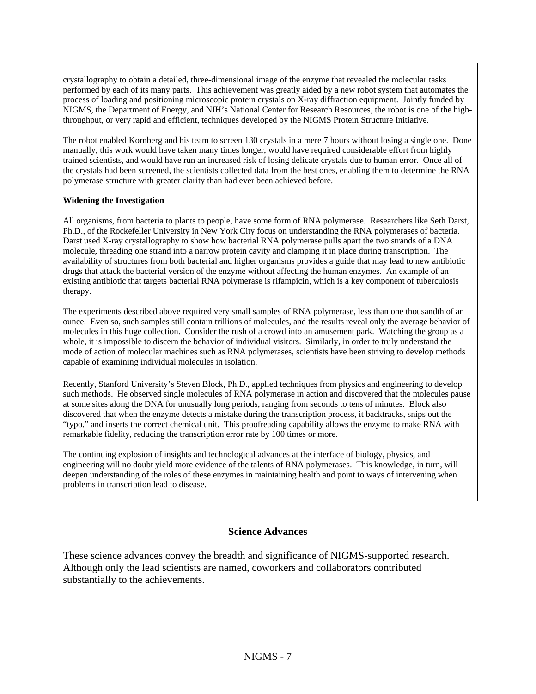crystallography to obtain a detailed, three-dimensional image of the enzyme that revealed the molecular tasks performed by each of its many parts. This achievement was greatly aided by a new robot system that automates the process of loading and positioning microscopic protein crystals on X-ray diffraction equipment. Jointly funded by NIGMS, the Department of Energy, and NIH's National Center for Research Resources, the robot is one of the highthroughput, or very rapid and efficient, techniques developed by the NIGMS Protein Structure Initiative.

The robot enabled Kornberg and his team to screen 130 crystals in a mere 7 hours without losing a single one. Done manually, this work would have taken many times longer, would have required considerable effort from highly trained scientists, and would have run an increased risk of losing delicate crystals due to human error. Once all of the crystals had been screened, the scientists collected data from the best ones, enabling them to determine the RNA polymerase structure with greater clarity than had ever been achieved before.

#### **Widening the Investigation**

All organisms, from bacteria to plants to people, have some form of RNA polymerase. Researchers like Seth Darst, Ph.D., of the Rockefeller University in New York City focus on understanding the RNA polymerases of bacteria. Darst used X-ray crystallography to show how bacterial RNA polymerase pulls apart the two strands of a DNA molecule, threading one strand into a narrow protein cavity and clamping it in place during transcription. The availability of structures from both bacterial and higher organisms provides a guide that may lead to new antibiotic drugs that attack the bacterial version of the enzyme without affecting the human enzymes. An example of an existing antibiotic that targets bacterial RNA polymerase is rifampicin, which is a key component of tuberculosis therapy.

The experiments described above required very small samples of RNA polymerase, less than one thousandth of an ounce. Even so, such samples still contain trillions of molecules, and the results reveal only the average behavior of molecules in this huge collection. Consider the rush of a crowd into an amusement park. Watching the group as a whole, it is impossible to discern the behavior of individual visitors. Similarly, in order to truly understand the mode of action of molecular machines such as RNA polymerases, scientists have been striving to develop methods capable of examining individual molecules in isolation.

Recently, Stanford University's Steven Block, Ph.D., applied techniques from physics and engineering to develop such methods. He observed single molecules of RNA polymerase in action and discovered that the molecules pause at some sites along the DNA for unusually long periods, ranging from seconds to tens of minutes. Block also discovered that when the enzyme detects a mistake during the transcription process, it backtracks, snips out the "typo," and inserts the correct chemical unit. This proofreading capability allows the enzyme to make RNA with remarkable fidelity, reducing the transcription error rate by 100 times or more.

The continuing explosion of insights and technological advances at the interface of biology, physics, and engineering will no doubt yield more evidence of the talents of RNA polymerases. This knowledge, in turn, will deepen understanding of the roles of these enzymes in maintaining health and point to ways of intervening when problems in transcription lead to disease.

#### **Science Advances**

These science advances convey the breadth and significance of NIGMS-supported research. Although only the lead scientists are named, coworkers and collaborators contributed substantially to the achievements.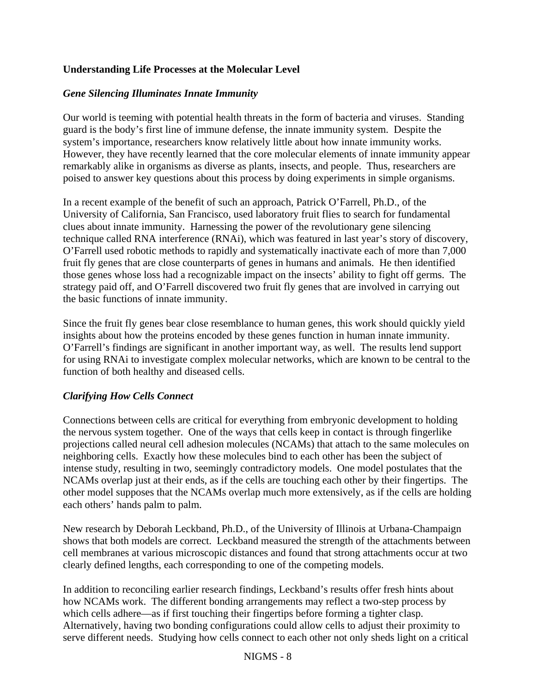## **Understanding Life Processes at the Molecular Level**

### *Gene Silencing Illuminates Innate Immunity*

Our world is teeming with potential health threats in the form of bacteria and viruses. Standing guard is the body's first line of immune defense, the innate immunity system. Despite the system's importance, researchers know relatively little about how innate immunity works. However, they have recently learned that the core molecular elements of innate immunity appear remarkably alike in organisms as diverse as plants, insects, and people. Thus, researchers are poised to answer key questions about this process by doing experiments in simple organisms.

In a recent example of the benefit of such an approach, Patrick O'Farrell, Ph.D., of the University of California, San Francisco, used laboratory fruit flies to search for fundamental clues about innate immunity. Harnessing the power of the revolutionary gene silencing technique called RNA interference (RNAi), which was featured in last year's story of discovery, O'Farrell used robotic methods to rapidly and systematically inactivate each of more than 7,000 fruit fly genes that are close counterparts of genes in humans and animals. He then identified those genes whose loss had a recognizable impact on the insects' ability to fight off germs. The strategy paid off, and O'Farrell discovered two fruit fly genes that are involved in carrying out the basic functions of innate immunity.

Since the fruit fly genes bear close resemblance to human genes, this work should quickly yield insights about how the proteins encoded by these genes function in human innate immunity. O'Farrell's findings are significant in another important way, as well. The results lend support for using RNAi to investigate complex molecular networks, which are known to be central to the function of both healthy and diseased cells.

#### *Clarifying How Cells Connect*

Connections between cells are critical for everything from embryonic development to holding the nervous system together. One of the ways that cells keep in contact is through fingerlike projections called neural cell adhesion molecules (NCAMs) that attach to the same molecules on neighboring cells. Exactly how these molecules bind to each other has been the subject of intense study, resulting in two, seemingly contradictory models. One model postulates that the NCAMs overlap just at their ends, as if the cells are touching each other by their fingertips. The other model supposes that the NCAMs overlap much more extensively, as if the cells are holding each others' hands palm to palm.

New research by Deborah Leckband, Ph.D., of the University of Illinois at Urbana-Champaign shows that both models are correct. Leckband measured the strength of the attachments between cell membranes at various microscopic distances and found that strong attachments occur at two clearly defined lengths, each corresponding to one of the competing models.

In addition to reconciling earlier research findings, Leckband's results offer fresh hints about how NCAMs work. The different bonding arrangements may reflect a two-step process by which cells adhere—as if first touching their fingertips before forming a tighter clasp. Alternatively, having two bonding configurations could allow cells to adjust their proximity to serve different needs. Studying how cells connect to each other not only sheds light on a critical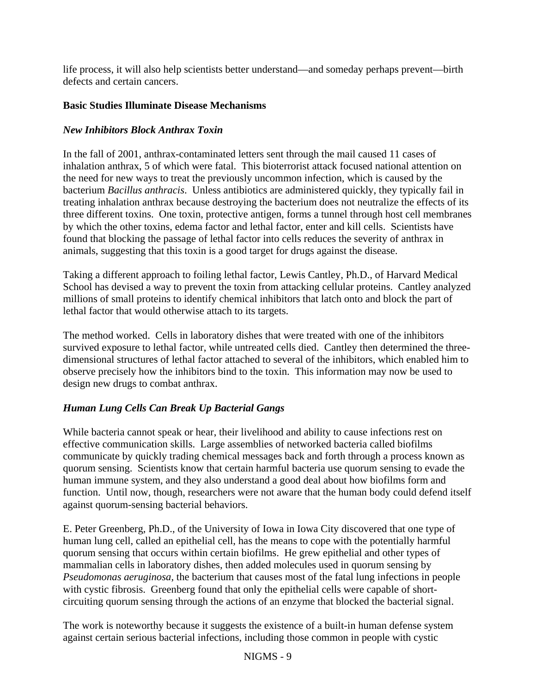life process, it will also help scientists better understand—and someday perhaps prevent—birth defects and certain cancers.

#### **Basic Studies Illuminate Disease Mechanisms**

#### *New Inhibitors Block Anthrax Toxin*

In the fall of 2001, anthrax-contaminated letters sent through the mail caused 11 cases of inhalation anthrax, 5 of which were fatal. This bioterrorist attack focused national attention on the need for new ways to treat the previously uncommon infection, which is caused by the bacterium *Bacillus anthracis*. Unless antibiotics are administered quickly, they typically fail in treating inhalation anthrax because destroying the bacterium does not neutralize the effects of its three different toxins. One toxin, protective antigen, forms a tunnel through host cell membranes by which the other toxins, edema factor and lethal factor, enter and kill cells. Scientists have found that blocking the passage of lethal factor into cells reduces the severity of anthrax in animals, suggesting that this toxin is a good target for drugs against the disease.

Taking a different approach to foiling lethal factor, Lewis Cantley, Ph.D., of Harvard Medical School has devised a way to prevent the toxin from attacking cellular proteins. Cantley analyzed millions of small proteins to identify chemical inhibitors that latch onto and block the part of lethal factor that would otherwise attach to its targets.

The method worked. Cells in laboratory dishes that were treated with one of the inhibitors survived exposure to lethal factor, while untreated cells died. Cantley then determined the threedimensional structures of lethal factor attached to several of the inhibitors, which enabled him to observe precisely how the inhibitors bind to the toxin. This information may now be used to design new drugs to combat anthrax.

## *Human Lung Cells Can Break Up Bacterial Gangs*

While bacteria cannot speak or hear, their livelihood and ability to cause infections rest on effective communication skills. Large assemblies of networked bacteria called biofilms communicate by quickly trading chemical messages back and forth through a process known as quorum sensing. Scientists know that certain harmful bacteria use quorum sensing to evade the human immune system, and they also understand a good deal about how biofilms form and function. Until now, though, researchers were not aware that the human body could defend itself against quorum-sensing bacterial behaviors.

E. Peter Greenberg, Ph.D., of the University of Iowa in Iowa City discovered that one type of human lung cell, called an epithelial cell, has the means to cope with the potentially harmful quorum sensing that occurs within certain biofilms. He grew epithelial and other types of mammalian cells in laboratory dishes, then added molecules used in quorum sensing by *Pseudomonas aeruginosa*, the bacterium that causes most of the fatal lung infections in people with cystic fibrosis. Greenberg found that only the epithelial cells were capable of shortcircuiting quorum sensing through the actions of an enzyme that blocked the bacterial signal.

The work is noteworthy because it suggests the existence of a built-in human defense system against certain serious bacterial infections, including those common in people with cystic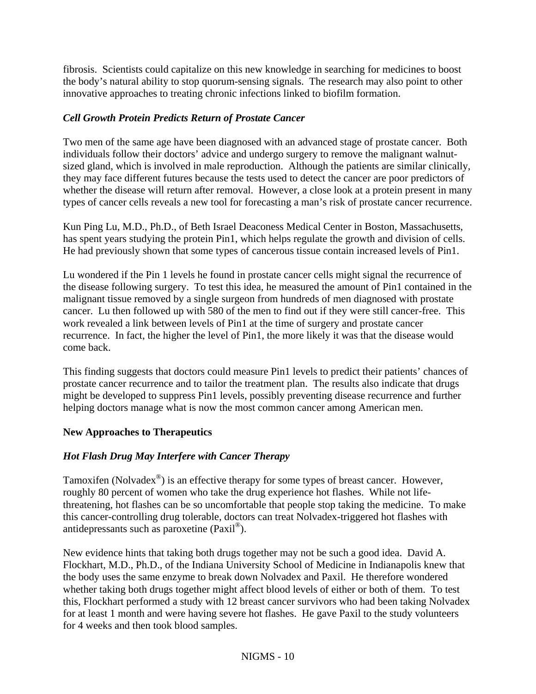fibrosis. Scientists could capitalize on this new knowledge in searching for medicines to boost the body's natural ability to stop quorum-sensing signals. The research may also point to other innovative approaches to treating chronic infections linked to biofilm formation.

## *Cell Growth Protein Predicts Return of Prostate Cancer*

Two men of the same age have been diagnosed with an advanced stage of prostate cancer. Both individuals follow their doctors' advice and undergo surgery to remove the malignant walnutsized gland, which is involved in male reproduction. Although the patients are similar clinically, they may face different futures because the tests used to detect the cancer are poor predictors of whether the disease will return after removal. However, a close look at a protein present in many types of cancer cells reveals a new tool for forecasting a man's risk of prostate cancer recurrence.

Kun Ping Lu, M.D., Ph.D., of Beth Israel Deaconess Medical Center in Boston, Massachusetts, has spent years studying the protein Pin1, which helps regulate the growth and division of cells. He had previously shown that some types of cancerous tissue contain increased levels of Pin1.

Lu wondered if the Pin 1 levels he found in prostate cancer cells might signal the recurrence of the disease following surgery. To test this idea, he measured the amount of Pin1 contained in the malignant tissue removed by a single surgeon from hundreds of men diagnosed with prostate cancer. Lu then followed up with 580 of the men to find out if they were still cancer-free. This work revealed a link between levels of Pin1 at the time of surgery and prostate cancer recurrence. In fact, the higher the level of Pin1, the more likely it was that the disease would come back.

This finding suggests that doctors could measure Pin1 levels to predict their patients' chances of prostate cancer recurrence and to tailor the treatment plan. The results also indicate that drugs might be developed to suppress Pin1 levels, possibly preventing disease recurrence and further helping doctors manage what is now the most common cancer among American men.

#### **New Approaches to Therapeutics**

## *Hot Flash Drug May Interfere with Cancer Therapy*

Tamoxifen (Nolvadex $^{\circledR}$ ) is an effective therapy for some types of breast cancer. However, roughly 80 percent of women who take the drug experience hot flashes. While not lifethreatening, hot flashes can be so uncomfortable that people stop taking the medicine. To make this cancer-controlling drug tolerable, doctors can treat Nolvadex-triggered hot flashes with antidepressants such as paroxetine (Paxil®).

New evidence hints that taking both drugs together may not be such a good idea. David A. Flockhart, M.D., Ph.D., of the Indiana University School of Medicine in Indianapolis knew that the body uses the same enzyme to break down Nolvadex and Paxil. He therefore wondered whether taking both drugs together might affect blood levels of either or both of them. To test this, Flockhart performed a study with 12 breast cancer survivors who had been taking Nolvadex for at least 1 month and were having severe hot flashes. He gave Paxil to the study volunteers for 4 weeks and then took blood samples.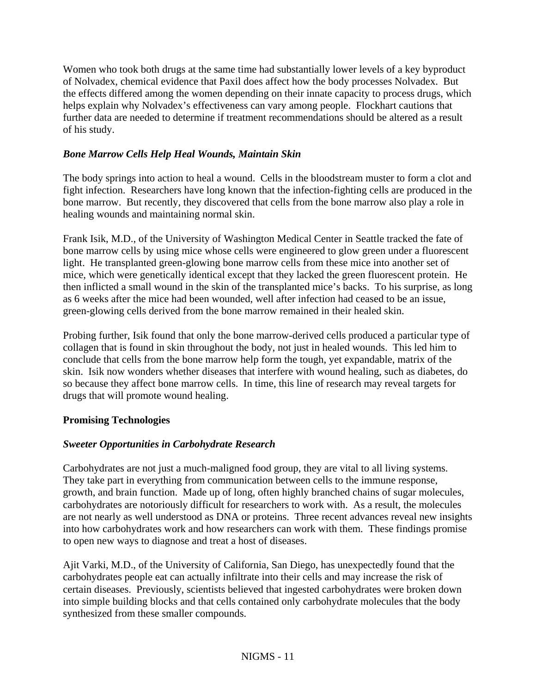Women who took both drugs at the same time had substantially lower levels of a key byproduct of Nolvadex, chemical evidence that Paxil does affect how the body processes Nolvadex. But the effects differed among the women depending on their innate capacity to process drugs, which helps explain why Nolvadex's effectiveness can vary among people. Flockhart cautions that further data are needed to determine if treatment recommendations should be altered as a result of his study.

#### *Bone Marrow Cells Help Heal Wounds, Maintain Skin*

The body springs into action to heal a wound. Cells in the bloodstream muster to form a clot and fight infection. Researchers have long known that the infection-fighting cells are produced in the bone marrow. But recently, they discovered that cells from the bone marrow also play a role in healing wounds and maintaining normal skin.

Frank Isik, M.D., of the University of Washington Medical Center in Seattle tracked the fate of bone marrow cells by using mice whose cells were engineered to glow green under a fluorescent light. He transplanted green-glowing bone marrow cells from these mice into another set of mice, which were genetically identical except that they lacked the green fluorescent protein. He then inflicted a small wound in the skin of the transplanted mice's backs. To his surprise, as long as 6 weeks after the mice had been wounded, well after infection had ceased to be an issue, green-glowing cells derived from the bone marrow remained in their healed skin.

Probing further, Isik found that only the bone marrow-derived cells produced a particular type of collagen that is found in skin throughout the body, not just in healed wounds. This led him to conclude that cells from the bone marrow help form the tough, yet expandable, matrix of the skin. Isik now wonders whether diseases that interfere with wound healing, such as diabetes, do so because they affect bone marrow cells. In time, this line of research may reveal targets for drugs that will promote wound healing.

#### **Promising Technologies**

## *Sweeter Opportunities in Carbohydrate Research*

Carbohydrates are not just a much-maligned food group, they are vital to all living systems. They take part in everything from communication between cells to the immune response, growth, and brain function. Made up of long, often highly branched chains of sugar molecules, carbohydrates are notoriously difficult for researchers to work with. As a result, the molecules are not nearly as well understood as DNA or proteins. Three recent advances reveal new insights into how carbohydrates work and how researchers can work with them. These findings promise to open new ways to diagnose and treat a host of diseases.

Ajit Varki, M.D., of the University of California, San Diego, has unexpectedly found that the carbohydrates people eat can actually infiltrate into their cells and may increase the risk of certain diseases. Previously, scientists believed that ingested carbohydrates were broken down into simple building blocks and that cells contained only carbohydrate molecules that the body synthesized from these smaller compounds.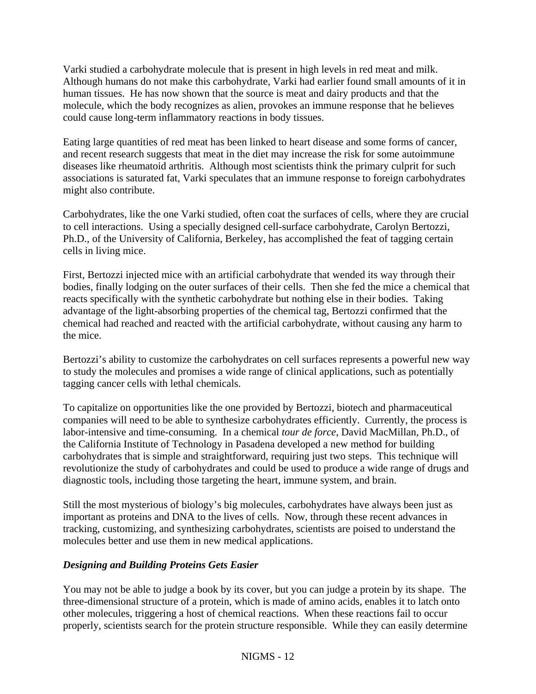Varki studied a carbohydrate molecule that is present in high levels in red meat and milk. Although humans do not make this carbohydrate, Varki had earlier found small amounts of it in human tissues. He has now shown that the source is meat and dairy products and that the molecule, which the body recognizes as alien, provokes an immune response that he believes could cause long-term inflammatory reactions in body tissues.

Eating large quantities of red meat has been linked to heart disease and some forms of cancer, and recent research suggests that meat in the diet may increase the risk for some autoimmune diseases like rheumatoid arthritis. Although most scientists think the primary culprit for such associations is saturated fat, Varki speculates that an immune response to foreign carbohydrates might also contribute.

Carbohydrates, like the one Varki studied, often coat the surfaces of cells, where they are crucial to cell interactions. Using a specially designed cell-surface carbohydrate, Carolyn Bertozzi, Ph.D., of the University of California, Berkeley, has accomplished the feat of tagging certain cells in living mice.

First, Bertozzi injected mice with an artificial carbohydrate that wended its way through their bodies, finally lodging on the outer surfaces of their cells. Then she fed the mice a chemical that reacts specifically with the synthetic carbohydrate but nothing else in their bodies. Taking advantage of the light-absorbing properties of the chemical tag, Bertozzi confirmed that the chemical had reached and reacted with the artificial carbohydrate, without causing any harm to the mice.

Bertozzi's ability to customize the carbohydrates on cell surfaces represents a powerful new way to study the molecules and promises a wide range of clinical applications, such as potentially tagging cancer cells with lethal chemicals.

To capitalize on opportunities like the one provided by Bertozzi, biotech and pharmaceutical companies will need to be able to synthesize carbohydrates efficiently. Currently, the process is labor-intensive and time-consuming. In a chemical *tour de force*, David MacMillan, Ph.D., of the California Institute of Technology in Pasadena developed a new method for building carbohydrates that is simple and straightforward, requiring just two steps. This technique will revolutionize the study of carbohydrates and could be used to produce a wide range of drugs and diagnostic tools, including those targeting the heart, immune system, and brain.

Still the most mysterious of biology's big molecules, carbohydrates have always been just as important as proteins and DNA to the lives of cells. Now, through these recent advances in tracking, customizing, and synthesizing carbohydrates, scientists are poised to understand the molecules better and use them in new medical applications.

#### *Designing and Building Proteins Gets Easier*

You may not be able to judge a book by its cover, but you can judge a protein by its shape. The three-dimensional structure of a protein, which is made of amino acids, enables it to latch onto other molecules, triggering a host of chemical reactions. When these reactions fail to occur properly, scientists search for the protein structure responsible. While they can easily determine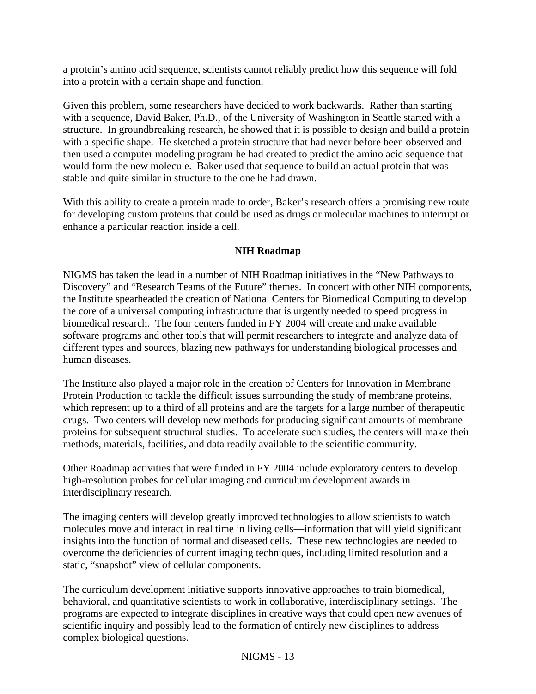a protein's amino acid sequence, scientists cannot reliably predict how this sequence will fold into a protein with a certain shape and function.

Given this problem, some researchers have decided to work backwards. Rather than starting with a sequence, David Baker, Ph.D., of the University of Washington in Seattle started with a structure. In groundbreaking research, he showed that it is possible to design and build a protein with a specific shape. He sketched a protein structure that had never before been observed and then used a computer modeling program he had created to predict the amino acid sequence that would form the new molecule. Baker used that sequence to build an actual protein that was stable and quite similar in structure to the one he had drawn.

With this ability to create a protein made to order, Baker's research offers a promising new route for developing custom proteins that could be used as drugs or molecular machines to interrupt or enhance a particular reaction inside a cell.

#### **NIH Roadmap**

NIGMS has taken the lead in a number of NIH Roadmap initiatives in the "New Pathways to Discovery" and "Research Teams of the Future" themes. In concert with other NIH components, the Institute spearheaded the creation of National Centers for Biomedical Computing to develop the core of a universal computing infrastructure that is urgently needed to speed progress in biomedical research. The four centers funded in FY 2004 will create and make available software programs and other tools that will permit researchers to integrate and analyze data of different types and sources, blazing new pathways for understanding biological processes and human diseases.

The Institute also played a major role in the creation of Centers for Innovation in Membrane Protein Production to tackle the difficult issues surrounding the study of membrane proteins, which represent up to a third of all proteins and are the targets for a large number of therapeutic drugs. Two centers will develop new methods for producing significant amounts of membrane proteins for subsequent structural studies. To accelerate such studies, the centers will make their methods, materials, facilities, and data readily available to the scientific community.

Other Roadmap activities that were funded in FY 2004 include exploratory centers to develop high-resolution probes for cellular imaging and curriculum development awards in interdisciplinary research.

The imaging centers will develop greatly improved technologies to allow scientists to watch molecules move and interact in real time in living cells—information that will yield significant insights into the function of normal and diseased cells. These new technologies are needed to overcome the deficiencies of current imaging techniques, including limited resolution and a static, "snapshot" view of cellular components.

The curriculum development initiative supports innovative approaches to train biomedical, behavioral, and quantitative scientists to work in collaborative, interdisciplinary settings. The programs are expected to integrate disciplines in creative ways that could open new avenues of scientific inquiry and possibly lead to the formation of entirely new disciplines to address complex biological questions.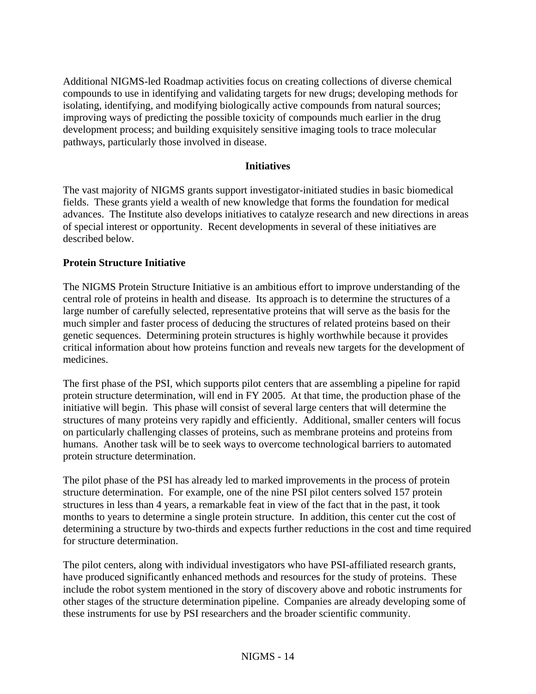Additional NIGMS-led Roadmap activities focus on creating collections of diverse chemical compounds to use in identifying and validating targets for new drugs; developing methods for isolating, identifying, and modifying biologically active compounds from natural sources; improving ways of predicting the possible toxicity of compounds much earlier in the drug development process; and building exquisitely sensitive imaging tools to trace molecular pathways, particularly those involved in disease.

#### **Initiatives**

The vast majority of NIGMS grants support investigator-initiated studies in basic biomedical fields. These grants yield a wealth of new knowledge that forms the foundation for medical advances. The Institute also develops initiatives to catalyze research and new directions in areas of special interest or opportunity. Recent developments in several of these initiatives are described below.

#### **Protein Structure Initiative**

The NIGMS Protein Structure Initiative is an ambitious effort to improve understanding of the central role of proteins in health and disease. Its approach is to determine the structures of a large number of carefully selected, representative proteins that will serve as the basis for the much simpler and faster process of deducing the structures of related proteins based on their genetic sequences. Determining protein structures is highly worthwhile because it provides critical information about how proteins function and reveals new targets for the development of medicines.

The first phase of the PSI, which supports pilot centers that are assembling a pipeline for rapid protein structure determination, will end in FY 2005. At that time, the production phase of the initiative will begin. This phase will consist of several large centers that will determine the structures of many proteins very rapidly and efficiently. Additional, smaller centers will focus on particularly challenging classes of proteins, such as membrane proteins and proteins from humans. Another task will be to seek ways to overcome technological barriers to automated protein structure determination.

The pilot phase of the PSI has already led to marked improvements in the process of protein structure determination. For example, one of the nine PSI pilot centers solved 157 protein structures in less than 4 years, a remarkable feat in view of the fact that in the past, it took months to years to determine a single protein structure. In addition, this center cut the cost of determining a structure by two-thirds and expects further reductions in the cost and time required for structure determination.

The pilot centers, along with individual investigators who have PSI-affiliated research grants, have produced significantly enhanced methods and resources for the study of proteins. These include the robot system mentioned in the story of discovery above and robotic instruments for other stages of the structure determination pipeline. Companies are already developing some of these instruments for use by PSI researchers and the broader scientific community.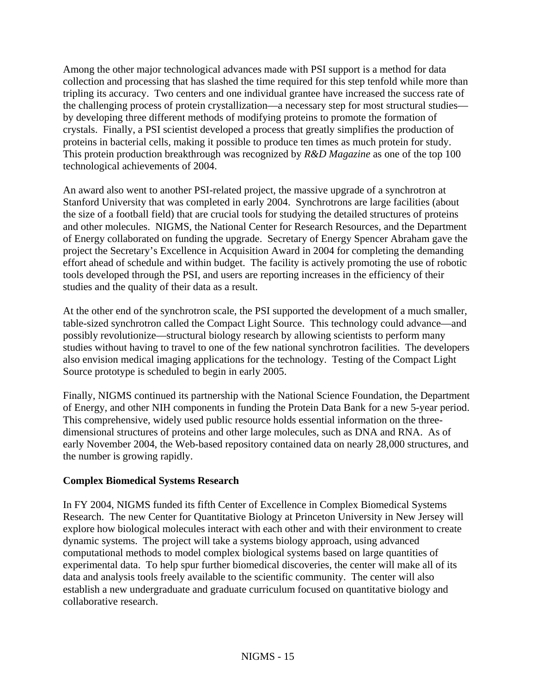Among the other major technological advances made with PSI support is a method for data collection and processing that has slashed the time required for this step tenfold while more than tripling its accuracy. Two centers and one individual grantee have increased the success rate of the challenging process of protein crystallization—a necessary step for most structural studies by developing three different methods of modifying proteins to promote the formation of crystals. Finally, a PSI scientist developed a process that greatly simplifies the production of proteins in bacterial cells, making it possible to produce ten times as much protein for study. This protein production breakthrough was recognized by *R&D Magazine* as one of the top 100 technological achievements of 2004.

An award also went to another PSI-related project, the massive upgrade of a synchrotron at Stanford University that was completed in early 2004. Synchrotrons are large facilities (about the size of a football field) that are crucial tools for studying the detailed structures of proteins and other molecules. NIGMS, the National Center for Research Resources, and the Department of Energy collaborated on funding the upgrade. Secretary of Energy Spencer Abraham gave the project the Secretary's Excellence in Acquisition Award in 2004 for completing the demanding effort ahead of schedule and within budget. The facility is actively promoting the use of robotic tools developed through the PSI, and users are reporting increases in the efficiency of their studies and the quality of their data as a result.

At the other end of the synchrotron scale, the PSI supported the development of a much smaller, table-sized synchrotron called the Compact Light Source. This technology could advance—and possibly revolutionize—structural biology research by allowing scientists to perform many studies without having to travel to one of the few national synchrotron facilities. The developers also envision medical imaging applications for the technology. Testing of the Compact Light Source prototype is scheduled to begin in early 2005.

Finally, NIGMS continued its partnership with the National Science Foundation, the Department of Energy, and other NIH components in funding the Protein Data Bank for a new 5-year period. This comprehensive, widely used public resource holds essential information on the threedimensional structures of proteins and other large molecules, such as DNA and RNA. As of early November 2004, the Web-based repository contained data on nearly 28,000 structures, and the number is growing rapidly.

#### **Complex Biomedical Systems Research**

In FY 2004, NIGMS funded its fifth Center of Excellence in Complex Biomedical Systems Research. The new Center for Quantitative Biology at Princeton University in New Jersey will explore how biological molecules interact with each other and with their environment to create dynamic systems. The project will take a systems biology approach, using advanced computational methods to model complex biological systems based on large quantities of experimental data. To help spur further biomedical discoveries, the center will make all of its data and analysis tools freely available to the scientific community. The center will also establish a new undergraduate and graduate curriculum focused on quantitative biology and collaborative research.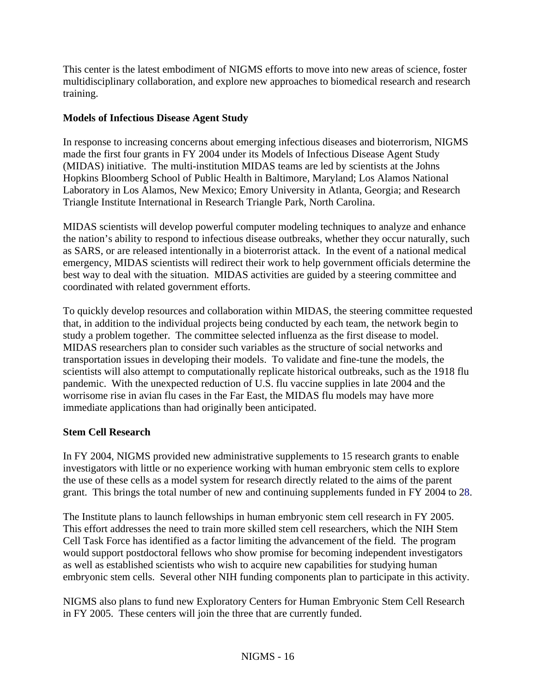This center is the latest embodiment of NIGMS efforts to move into new areas of science, foster multidisciplinary collaboration, and explore new approaches to biomedical research and research training.

### **Models of Infectious Disease Agent Study**

In response to increasing concerns about emerging infectious diseases and bioterrorism, NIGMS made the first four grants in FY 2004 under its Models of Infectious Disease Agent Study (MIDAS) initiative. The multi-institution MIDAS teams are led by scientists at the Johns Hopkins Bloomberg School of Public Health in Baltimore, Maryland; Los Alamos National Laboratory in Los Alamos, New Mexico; Emory University in Atlanta, Georgia; and Research Triangle Institute International in Research Triangle Park, North Carolina.

MIDAS scientists will develop powerful computer modeling techniques to analyze and enhance the nation's ability to respond to infectious disease outbreaks, whether they occur naturally, such as SARS, or are released intentionally in a bioterrorist attack. In the event of a national medical emergency, MIDAS scientists will redirect their work to help government officials determine the best way to deal with the situation. MIDAS activities are guided by a steering committee and coordinated with related government efforts.

To quickly develop resources and collaboration within MIDAS, the steering committee requested that, in addition to the individual projects being conducted by each team, the network begin to study a problem together. The committee selected influenza as the first disease to model. MIDAS researchers plan to consider such variables as the structure of social networks and transportation issues in developing their models. To validate and fine-tune the models, the scientists will also attempt to computationally replicate historical outbreaks, such as the 1918 flu pandemic. With the unexpected reduction of U.S. flu vaccine supplies in late 2004 and the worrisome rise in avian flu cases in the Far East, the MIDAS flu models may have more immediate applications than had originally been anticipated.

## **Stem Cell Research**

In FY 2004, NIGMS provided new administrative supplements to 15 research grants to enable investigators with little or no experience working with human embryonic stem cells to explore the use of these cells as a model system for research directly related to the aims of the parent grant. This brings the total number of new and continuing supplements funded in FY 2004 to 28.

The Institute plans to launch fellowships in human embryonic stem cell research in FY 2005. This effort addresses the need to train more skilled stem cell researchers, which the NIH Stem Cell Task Force has identified as a factor limiting the advancement of the field. The program would support postdoctoral fellows who show promise for becoming independent investigators as well as established scientists who wish to acquire new capabilities for studying human embryonic stem cells. Several other NIH funding components plan to participate in this activity.

NIGMS also plans to fund new Exploratory Centers for Human Embryonic Stem Cell Research in FY 2005. These centers will join the three that are currently funded.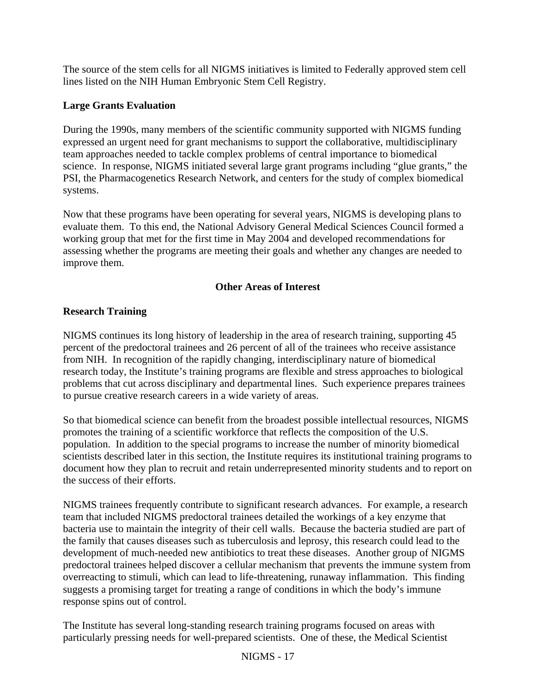The source of the stem cells for all NIGMS initiatives is limited to Federally approved stem cell lines listed on the NIH Human Embryonic Stem Cell Registry.

### **Large Grants Evaluation**

During the 1990s, many members of the scientific community supported with NIGMS funding expressed an urgent need for grant mechanisms to support the collaborative, multidisciplinary team approaches needed to tackle complex problems of central importance to biomedical science. In response, NIGMS initiated several large grant programs including "glue grants," the PSI, the Pharmacogenetics Research Network, and centers for the study of complex biomedical systems.

Now that these programs have been operating for several years, NIGMS is developing plans to evaluate them. To this end, the National Advisory General Medical Sciences Council formed a working group that met for the first time in May 2004 and developed recommendations for assessing whether the programs are meeting their goals and whether any changes are needed to improve them.

## **Other Areas of Interest**

## **Research Training**

NIGMS continues its long history of leadership in the area of research training, supporting 45 percent of the predoctoral trainees and 26 percent of all of the trainees who receive assistance from NIH. In recognition of the rapidly changing, interdisciplinary nature of biomedical research today, the Institute's training programs are flexible and stress approaches to biological problems that cut across disciplinary and departmental lines. Such experience prepares trainees to pursue creative research careers in a wide variety of areas.

So that biomedical science can benefit from the broadest possible intellectual resources, NIGMS promotes the training of a scientific workforce that reflects the composition of the U.S. population. In addition to the special programs to increase the number of minority biomedical scientists described later in this section, the Institute requires its institutional training programs to document how they plan to recruit and retain underrepresented minority students and to report on the success of their efforts.

NIGMS trainees frequently contribute to significant research advances. For example, a research team that included NIGMS predoctoral trainees detailed the workings of a key enzyme that bacteria use to maintain the integrity of their cell walls. Because the bacteria studied are part of the family that causes diseases such as tuberculosis and leprosy, this research could lead to the development of much-needed new antibiotics to treat these diseases. Another group of NIGMS predoctoral trainees helped discover a cellular mechanism that prevents the immune system from overreacting to stimuli, which can lead to life-threatening, runaway inflammation. This finding suggests a promising target for treating a range of conditions in which the body's immune response spins out of control.

The Institute has several long-standing research training programs focused on areas with particularly pressing needs for well-prepared scientists. One of these, the Medical Scientist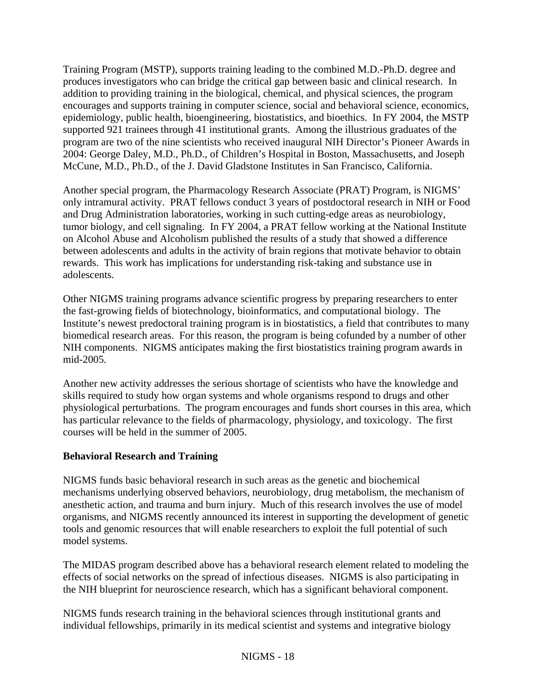Training Program (MSTP), supports training leading to the combined M.D.-Ph.D. degree and produces investigators who can bridge the critical gap between basic and clinical research. In addition to providing training in the biological, chemical, and physical sciences, the program encourages and supports training in computer science, social and behavioral science, economics, epidemiology, public health, bioengineering, biostatistics, and bioethics. In FY 2004, the MSTP supported 921 trainees through 41 institutional grants. Among the illustrious graduates of the program are two of the nine scientists who received inaugural NIH Director's Pioneer Awards in 2004: George Daley, M.D., Ph.D., of Children's Hospital in Boston, Massachusetts, and Joseph McCune, M.D., Ph.D., of the J. David Gladstone Institutes in San Francisco, California.

Another special program, the Pharmacology Research Associate (PRAT) Program, is NIGMS' only intramural activity. PRAT fellows conduct 3 years of postdoctoral research in NIH or Food and Drug Administration laboratories, working in such cutting-edge areas as neurobiology, tumor biology, and cell signaling. In FY 2004, a PRAT fellow working at the National Institute on Alcohol Abuse and Alcoholism published the results of a study that showed a difference between adolescents and adults in the activity of brain regions that motivate behavior to obtain rewards. This work has implications for understanding risk-taking and substance use in adolescents.

Other NIGMS training programs advance scientific progress by preparing researchers to enter the fast-growing fields of biotechnology, bioinformatics, and computational biology. The Institute's newest predoctoral training program is in biostatistics, a field that contributes to many biomedical research areas. For this reason, the program is being cofunded by a number of other NIH components. NIGMS anticipates making the first biostatistics training program awards in mid-2005.

Another new activity addresses the serious shortage of scientists who have the knowledge and skills required to study how organ systems and whole organisms respond to drugs and other physiological perturbations. The program encourages and funds short courses in this area, which has particular relevance to the fields of pharmacology, physiology, and toxicology. The first courses will be held in the summer of 2005.

#### **Behavioral Research and Training**

NIGMS funds basic behavioral research in such areas as the genetic and biochemical mechanisms underlying observed behaviors, neurobiology, drug metabolism, the mechanism of anesthetic action, and trauma and burn injury. Much of this research involves the use of model organisms, and NIGMS recently announced its interest in supporting the development of genetic tools and genomic resources that will enable researchers to exploit the full potential of such model systems.

The MIDAS program described above has a behavioral research element related to modeling the effects of social networks on the spread of infectious diseases. NIGMS is also participating in the NIH blueprint for neuroscience research, which has a significant behavioral component.

NIGMS funds research training in the behavioral sciences through institutional grants and individual fellowships, primarily in its medical scientist and systems and integrative biology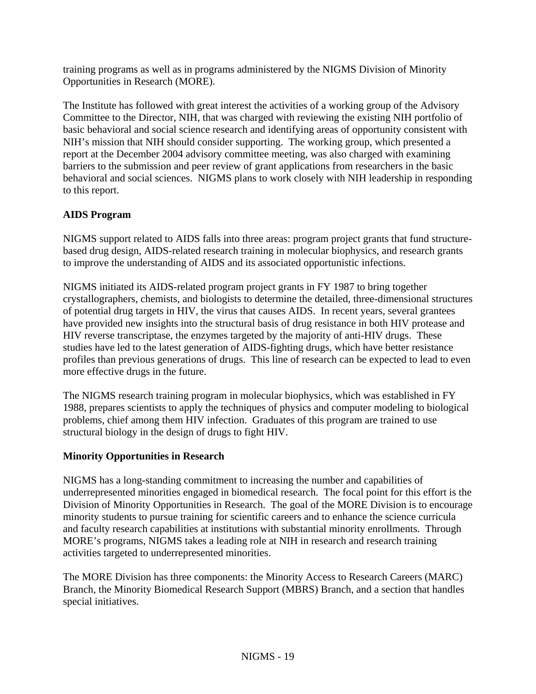training programs as well as in programs administered by the NIGMS Division of Minority Opportunities in Research (MORE).

The Institute has followed with great interest the activities of a working group of the Advisory Committee to the Director, NIH, that was charged with reviewing the existing NIH portfolio of basic behavioral and social science research and identifying areas of opportunity consistent with NIH's mission that NIH should consider supporting. The working group, which presented a report at the December 2004 advisory committee meeting, was also charged with examining barriers to the submission and peer review of grant applications from researchers in the basic behavioral and social sciences. NIGMS plans to work closely with NIH leadership in responding to this report.

## **AIDS Program**

NIGMS support related to AIDS falls into three areas: program project grants that fund structurebased drug design, AIDS-related research training in molecular biophysics, and research grants to improve the understanding of AIDS and its associated opportunistic infections.

NIGMS initiated its AIDS-related program project grants in FY 1987 to bring together crystallographers, chemists, and biologists to determine the detailed, three-dimensional structures of potential drug targets in HIV, the virus that causes AIDS. In recent years, several grantees have provided new insights into the structural basis of drug resistance in both HIV protease and HIV reverse transcriptase, the enzymes targeted by the majority of anti-HIV drugs. These studies have led to the latest generation of AIDS-fighting drugs, which have better resistance profiles than previous generations of drugs. This line of research can be expected to lead to even more effective drugs in the future.

The NIGMS research training program in molecular biophysics, which was established in FY 1988, prepares scientists to apply the techniques of physics and computer modeling to biological problems, chief among them HIV infection. Graduates of this program are trained to use structural biology in the design of drugs to fight HIV.

#### **Minority Opportunities in Research**

NIGMS has a long-standing commitment to increasing the number and capabilities of underrepresented minorities engaged in biomedical research. The focal point for this effort is the Division of Minority Opportunities in Research. The goal of the MORE Division is to encourage minority students to pursue training for scientific careers and to enhance the science curricula and faculty research capabilities at institutions with substantial minority enrollments. Through MORE's programs, NIGMS takes a leading role at NIH in research and research training activities targeted to underrepresented minorities.

The MORE Division has three components: the Minority Access to Research Careers (MARC) Branch, the Minority Biomedical Research Support (MBRS) Branch, and a section that handles special initiatives.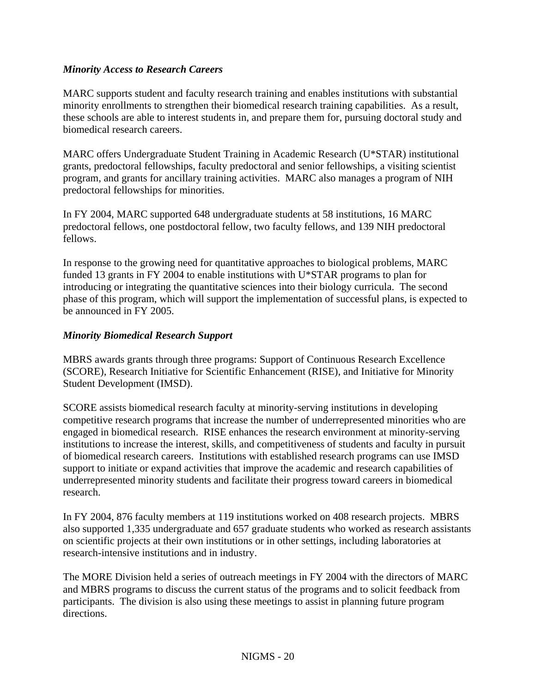#### *Minority Access to Research Careers*

MARC supports student and faculty research training and enables institutions with substantial minority enrollments to strengthen their biomedical research training capabilities. As a result, these schools are able to interest students in, and prepare them for, pursuing doctoral study and biomedical research careers.

MARC offers Undergraduate Student Training in Academic Research (U\*STAR) institutional grants, predoctoral fellowships, faculty predoctoral and senior fellowships, a visiting scientist program, and grants for ancillary training activities. MARC also manages a program of NIH predoctoral fellowships for minorities.

In FY 2004, MARC supported 648 undergraduate students at 58 institutions, 16 MARC predoctoral fellows, one postdoctoral fellow, two faculty fellows, and 139 NIH predoctoral fellows.

In response to the growing need for quantitative approaches to biological problems, MARC funded 13 grants in FY 2004 to enable institutions with U\*STAR programs to plan for introducing or integrating the quantitative sciences into their biology curricula. The second phase of this program, which will support the implementation of successful plans, is expected to be announced in FY 2005.

## *Minority Biomedical Research Support*

MBRS awards grants through three programs: Support of Continuous Research Excellence (SCORE), Research Initiative for Scientific Enhancement (RISE), and Initiative for Minority Student Development (IMSD).

SCORE assists biomedical research faculty at minority-serving institutions in developing competitive research programs that increase the number of underrepresented minorities who are engaged in biomedical research. RISE enhances the research environment at minority-serving institutions to increase the interest, skills, and competitiveness of students and faculty in pursuit of biomedical research careers. Institutions with established research programs can use IMSD support to initiate or expand activities that improve the academic and research capabilities of underrepresented minority students and facilitate their progress toward careers in biomedical research.

In FY 2004, 876 faculty members at 119 institutions worked on 408 research projects. MBRS also supported 1,335 undergraduate and 657 graduate students who worked as research assistants on scientific projects at their own institutions or in other settings, including laboratories at research-intensive institutions and in industry.

The MORE Division held a series of outreach meetings in FY 2004 with the directors of MARC and MBRS programs to discuss the current status of the programs and to solicit feedback from participants. The division is also using these meetings to assist in planning future program directions.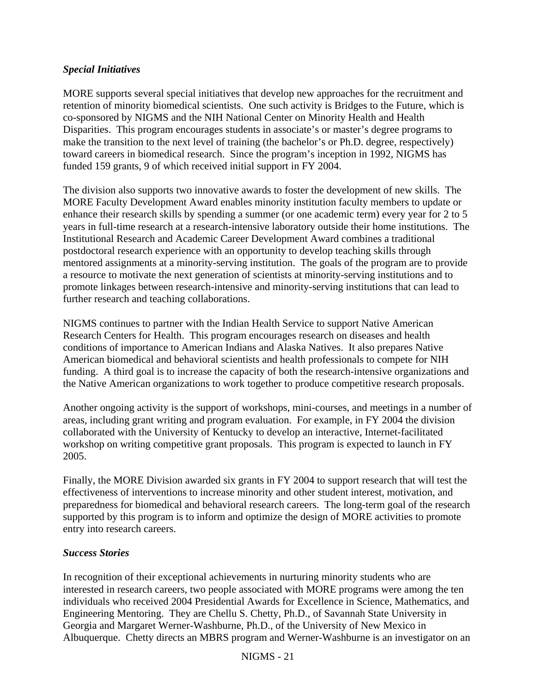#### *Special Initiatives*

MORE supports several special initiatives that develop new approaches for the recruitment and retention of minority biomedical scientists. One such activity is Bridges to the Future, which is co-sponsored by NIGMS and the NIH National Center on Minority Health and Health Disparities. This program encourages students in associate's or master's degree programs to make the transition to the next level of training (the bachelor's or Ph.D. degree, respectively) toward careers in biomedical research. Since the program's inception in 1992, NIGMS has funded 159 grants, 9 of which received initial support in FY 2004.

The division also supports two innovative awards to foster the development of new skills. The MORE Faculty Development Award enables minority institution faculty members to update or enhance their research skills by spending a summer (or one academic term) every year for 2 to 5 years in full-time research at a research-intensive laboratory outside their home institutions. The Institutional Research and Academic Career Development Award combines a traditional postdoctoral research experience with an opportunity to develop teaching skills through mentored assignments at a minority-serving institution. The goals of the program are to provide a resource to motivate the next generation of scientists at minority-serving institutions and to promote linkages between research-intensive and minority-serving institutions that can lead to further research and teaching collaborations.

NIGMS continues to partner with the Indian Health Service to support Native American Research Centers for Health. This program encourages research on diseases and health conditions of importance to American Indians and Alaska Natives. It also prepares Native American biomedical and behavioral scientists and health professionals to compete for NIH funding. A third goal is to increase the capacity of both the research-intensive organizations and the Native American organizations to work together to produce competitive research proposals.

Another ongoing activity is the support of workshops, mini-courses, and meetings in a number of areas, including grant writing and program evaluation. For example, in FY 2004 the division collaborated with the University of Kentucky to develop an interactive, Internet-facilitated workshop on writing competitive grant proposals. This program is expected to launch in FY 2005.

Finally, the MORE Division awarded six grants in FY 2004 to support research that will test the effectiveness of interventions to increase minority and other student interest, motivation, and preparedness for biomedical and behavioral research careers. The long-term goal of the research supported by this program is to inform and optimize the design of MORE activities to promote entry into research careers.

#### *Success Stories*

In recognition of their exceptional achievements in nurturing minority students who are interested in research careers, two people associated with MORE programs were among the ten individuals who received 2004 Presidential Awards for Excellence in Science, Mathematics, and Engineering Mentoring. They are Chellu S. Chetty, Ph.D., of Savannah State University in Georgia and Margaret Werner-Washburne, Ph.D., of the University of New Mexico in Albuquerque. Chetty directs an MBRS program and Werner-Washburne is an investigator on an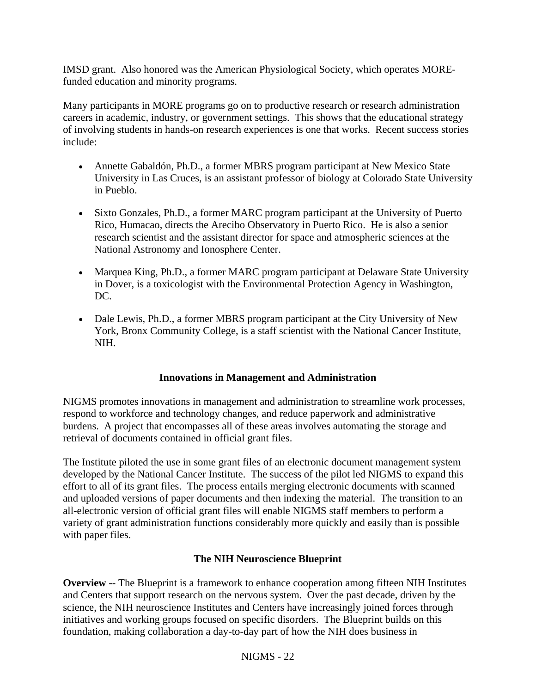IMSD grant. Also honored was the American Physiological Society, which operates MOREfunded education and minority programs.

Many participants in MORE programs go on to productive research or research administration careers in academic, industry, or government settings. This shows that the educational strategy of involving students in hands-on research experiences is one that works. Recent success stories include:

- Annette Gabaldón, Ph.D., a former MBRS program participant at New Mexico State University in Las Cruces, is an assistant professor of biology at Colorado State University in Pueblo.
- Sixto Gonzales, Ph.D., a former MARC program participant at the University of Puerto Rico, Humacao, directs the Arecibo Observatory in Puerto Rico. He is also a senior research scientist and the assistant director for space and atmospheric sciences at the National Astronomy and Ionosphere Center.
- Marquea King, Ph.D., a former MARC program participant at Delaware State University in Dover, is a toxicologist with the Environmental Protection Agency in Washington, DC.
- Dale Lewis, Ph.D., a former MBRS program participant at the City University of New York, Bronx Community College, is a staff scientist with the National Cancer Institute, NIH.

#### **Innovations in Management and Administration**

NIGMS promotes innovations in management and administration to streamline work processes, respond to workforce and technology changes, and reduce paperwork and administrative burdens. A project that encompasses all of these areas involves automating the storage and retrieval of documents contained in official grant files.

The Institute piloted the use in some grant files of an electronic document management system developed by the National Cancer Institute. The success of the pilot led NIGMS to expand this effort to all of its grant files. The process entails merging electronic documents with scanned and uploaded versions of paper documents and then indexing the material. The transition to an all-electronic version of official grant files will enable NIGMS staff members to perform a variety of grant administration functions considerably more quickly and easily than is possible with paper files.

## **The NIH Neuroscience Blueprint**

**Overview** -- The Blueprint is a framework to enhance cooperation among fifteen NIH Institutes and Centers that support research on the nervous system. Over the past decade, driven by the science, the NIH neuroscience Institutes and Centers have increasingly joined forces through initiatives and working groups focused on specific disorders. The Blueprint builds on this foundation, making collaboration a day-to-day part of how the NIH does business in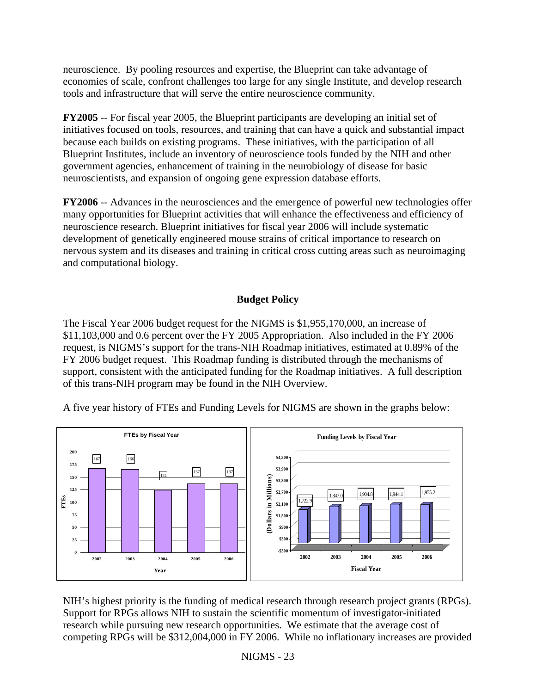neuroscience. By pooling resources and expertise, the Blueprint can take advantage of economies of scale, confront challenges too large for any single Institute, and develop research tools and infrastructure that will serve the entire neuroscience community.

**FY2005** -- For fiscal year 2005, the Blueprint participants are developing an initial set of initiatives focused on tools, resources, and training that can have a quick and substantial impact because each builds on existing programs. These initiatives, with the participation of all Blueprint Institutes, include an inventory of neuroscience tools funded by the NIH and other government agencies, enhancement of training in the neurobiology of disease for basic neuroscientists, and expansion of ongoing gene expression database efforts.

**FY2006** -- Advances in the neurosciences and the emergence of powerful new technologies offer many opportunities for Blueprint activities that will enhance the effectiveness and efficiency of neuroscience research. Blueprint initiatives for fiscal year 2006 will include systematic development of genetically engineered mouse strains of critical importance to research on nervous system and its diseases and training in critical cross cutting areas such as neuroimaging and computational biology.

## **Budget Policy**

The Fiscal Year 2006 budget request for the NIGMS is \$1,955,170,000, an increase of \$11,103,000 and 0.6 percent over the FY 2005 Appropriation. Also included in the FY 2006 request, is NIGMS's support for the trans-NIH Roadmap initiatives, estimated at 0.89% of the FY 2006 budget request. This Roadmap funding is distributed through the mechanisms of support, consistent with the anticipated funding for the Roadmap initiatives. A full description of this trans-NIH program may be found in the NIH Overview.

A five year history of FTEs and Funding Levels for NIGMS are shown in the graphs below:



NIH's highest priority is the funding of medical research through research project grants (RPGs). competing RPGs will be \$312,004,000 in FY 2006. While no inflationary increases are provided Support for RPGs allows NIH to sustain the scientific momentum of investigator-initiated research while pursuing new research opportunities. We estimate that the average cost of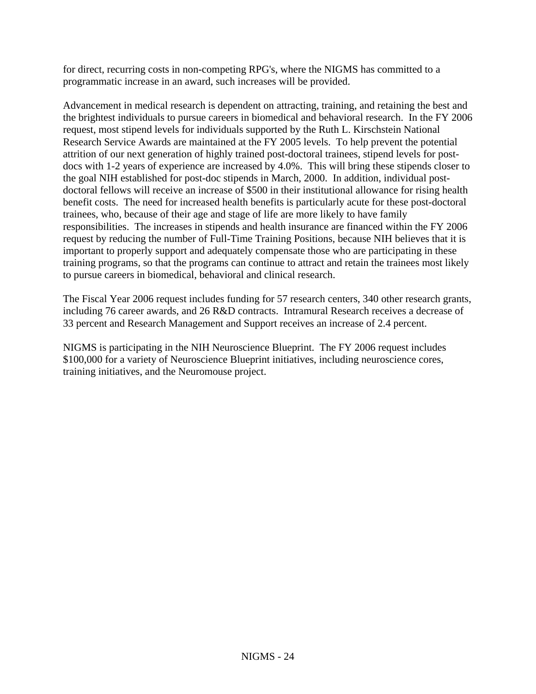for direct, recurring costs in non-competing RPG's, where the NIGMS has committed to a programmatic increase in an award, such increases will be provided.

Advancement in medical research is dependent on attracting, training, and retaining the best and Research Service Awards are maintained at the FY 2005 levels. To help prevent the potential docs with 1-2 years of experience are increased by 4.0%. This will bring these stipends closer to doctoral fellows will receive an increase of \$500 in their institutional allowance for rising health responsibilities. The increases in stipends and health insurance are financed within the FY 2006 training programs, so that the programs can continue to attract and retain the trainees most likely the brightest individuals to pursue careers in biomedical and behavioral research. In the FY 2006 request, most stipend levels for individuals supported by the Ruth L. Kirschstein National attrition of our next generation of highly trained post-doctoral trainees, stipend levels for postthe goal NIH established for post-doc stipends in March, 2000. In addition, individual postbenefit costs. The need for increased health benefits is particularly acute for these post-doctoral trainees, who, because of their age and stage of life are more likely to have family request by reducing the number of Full-Time Training Positions, because NIH believes that it is important to properly support and adequately compensate those who are participating in these to pursue careers in biomedical, behavioral and clinical research.

The Fiscal Year 2006 request includes funding for 57 research centers, 340 other research grants, including 76 career awards, and 26 R&D contracts. Intramural Research receives a decrease of 33 percent and Research Management and Support receives an increase of 2.4 percent.

NIGMS is participating in the NIH Neuroscience Blueprint. The FY 2006 request includes \$100,000 for a variety of Neuroscience Blueprint initiatives, including neuroscience cores, training initiatives, and the Neuromouse project.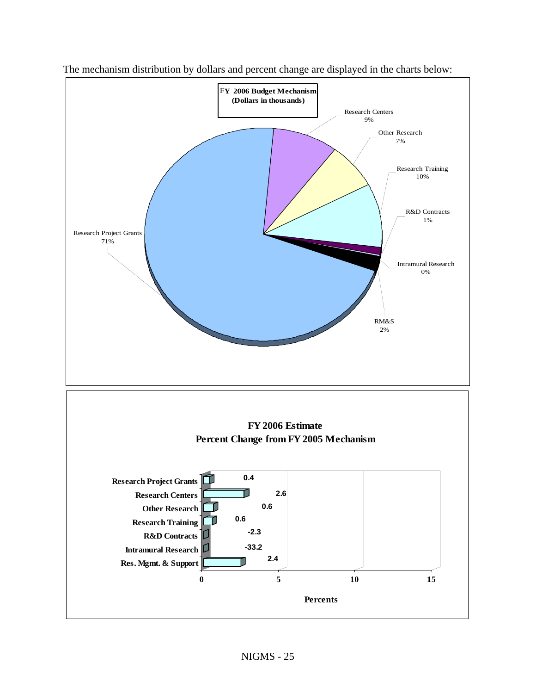

The mechanism distribution by dollars and percent change are displayed in the charts below: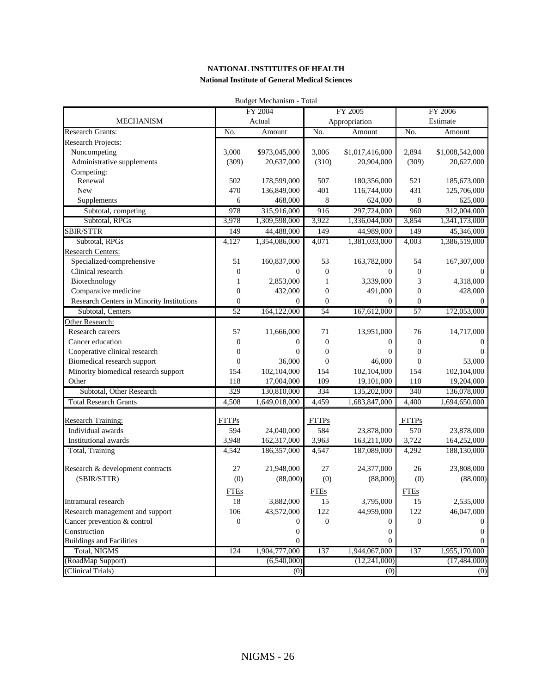| Budget Mechanism - Total                  |                  |                |                  |                  |                  |                 |
|-------------------------------------------|------------------|----------------|------------------|------------------|------------------|-----------------|
|                                           |                  | FY 2004        | FY 2005          |                  | FY 2006          |                 |
| <b>MECHANISM</b>                          |                  | Actual         |                  | Appropriation    |                  | Estimate        |
| <b>Research Grants:</b>                   | No.              | Amount         | No.              | Amount           | No.              | Amount          |
| <b>Research Projects:</b>                 |                  |                |                  |                  |                  |                 |
| Noncompeting                              | 3,000            | \$973,045,000  | 3,006            | \$1,017,416,000  | 2,894            | \$1,008,542,000 |
| Administrative supplements                | (309)            | 20,637,000     | (310)            | 20,904,000       | (309)            | 20,627,000      |
| Competing:                                |                  |                |                  |                  |                  |                 |
| Renewal                                   | 502              | 178,599,000    | 507              | 180,356,000      | 521              | 185,673,000     |
| New                                       | 470              | 136,849,000    | 401              | 116,744,000      | 431              | 125,706,000     |
| Supplements                               | 6                | 468,000        | 8                | 624,000          | 8                | 625,000         |
| Subtotal, competing                       | 978              | 315,916,000    | 916              | 297,724,000      | 960              | 312,004,000     |
| Subtotal, RPGs                            | 3,978            | 1,309,598,000  | 3,922            | 1,336,044,000    | 3,854            | 1,341,173,000   |
| SBIR/STTR                                 | 149              | 44,488,000     | 149              | 44,989,000       | 149              | 45,346,000      |
| Subtotal, RPGs                            | 4,127            | 1,354,086,000  | 4,071            | 1,381,033,000    | 4,003            | 1,386,519,000   |
| <b>Research Centers:</b>                  |                  |                |                  |                  |                  |                 |
| Specialized/comprehensive                 | 51               | 160,837,000    | 53               | 163,782,000      | 54               | 167,307,000     |
| Clinical research                         | $\boldsymbol{0}$ | $\mathbf{0}$   | $\boldsymbol{0}$ | $\mathbf{0}$     | $\boldsymbol{0}$ | $\Omega$        |
| Biotechnology                             | 1                | 2,853,000      | 1                | 3,339,000        | 3                | 4,318,000       |
| Comparative medicine                      | $\boldsymbol{0}$ | 432,000        | $\boldsymbol{0}$ | 491,000          | $\boldsymbol{0}$ | 428,000         |
| Research Centers in Minority Institutions | $\overline{0}$   | $\mathbf{0}$   | $\boldsymbol{0}$ | $\mathbf{0}$     | $\boldsymbol{0}$ | $\Omega$        |
| Subtotal, Centers                         | $\overline{52}$  | 164,122,000    | 54               | 167,612,000      | $\overline{57}$  | 172,053,000     |
| Other Research:                           |                  |                |                  |                  |                  |                 |
| Research careers                          | 57               | 11,666,000     | 71               | 13,951,000       | 76               | 14,717,000      |
| Cancer education                          | $\boldsymbol{0}$ | $\mathbf{0}$   | $\boldsymbol{0}$ | $\Omega$         | $\boldsymbol{0}$ |                 |
| Cooperative clinical research             | $\boldsymbol{0}$ | $\theta$       | $\boldsymbol{0}$ | $\theta$         | $\overline{0}$   | $\Omega$        |
| Biomedical research support               | $\overline{0}$   | 36,000         | $\boldsymbol{0}$ | 46,000           | $\boldsymbol{0}$ | 53,000          |
| Minority biomedical research support      | 154              | 102,104,000    | 154              | 102,104,000      | 154              | 102,104,000     |
| Other                                     | 118              | 17,004,000     | 109              | 19,101,000       | 110              | 19,204,000      |
| Subtotal, Other Research                  | 329              | 130,810,000    | 334              | 135,202,000      | 340              | 136,078,000     |
| <b>Total Research Grants</b>              | 4,508            | 1,649,018,000  | 4,459            | 1,683,847,000    | 4,400            | 1,694,650,000   |
|                                           |                  |                |                  |                  |                  |                 |
| <b>Research Training:</b>                 | <b>FTTPs</b>     |                | <b>FTTPs</b>     |                  | <b>FTTPs</b>     |                 |
| Individual awards                         | 594              | 24,040,000     | 584              | 23,878,000       | 570              | 23,878,000      |
| <b>Institutional</b> awards               | 3,948            | 162,317,000    | 3,963            | 163,211,000      | 3,722            | 164,252,000     |
| Total, Training                           | 4,542            | 186,357,000    | 4,547            | 187,089,000      | 4,292            | 188,130,000     |
|                                           |                  |                |                  |                  |                  |                 |
| Research & development contracts          | 27               | 21,948,000     | 27               | 24,377,000       | 26               | 23,808,000      |
| (SBIR/STTR)                               | (0)              | (88,000)       | (0)              | (88,000)         | (0)              | (88,000)        |
|                                           | <b>FTEs</b>      |                | <b>FTEs</b>      |                  | <b>FTEs</b>      |                 |
| Intramural research                       | 18               | 3,882,000      | 15               | 3,795,000        | 15               | 2,535,000       |
| Research management and support           | 106              | 43,572,000     | 122              | 44,959,000       | 122              | 46,047,000      |
| Cancer prevention & control               | 0                | $\overline{0}$ | $\boldsymbol{0}$ | $\overline{0}$   | $\mathbf{0}$     |                 |
| Construction                              |                  | $\mathbf{0}$   |                  | $\mathbf{0}$     |                  | $\theta$        |
| <b>Buildings and Facilities</b>           |                  | $\mathbf{0}$   |                  | $\mathbf{0}$     |                  |                 |
| Total, NIGMS                              | 124              | 1,904,777,000  | 137              | 1,944,067,000    | 137              | 1,955,170,000   |
| (RoadMap Support)                         |                  | (6,540,000)    |                  | (12, 241, 000)   |                  | (17, 484, 000)  |
| (Clinical Trials)                         |                  | (0)            |                  | $\overline{(0)}$ |                  | (0)             |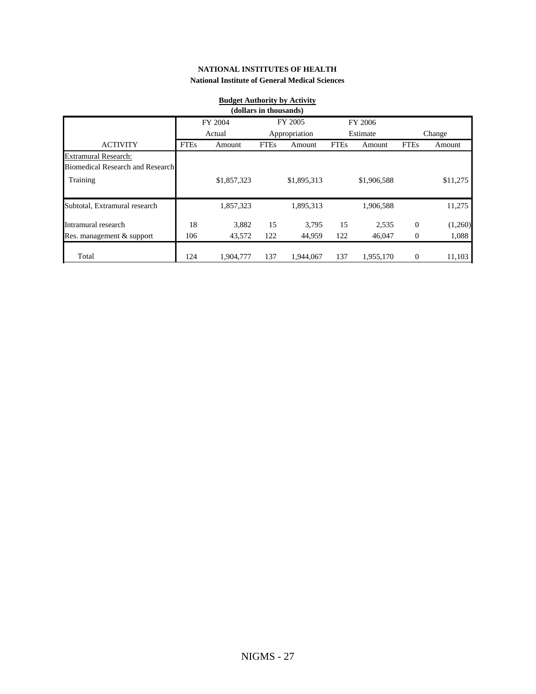| <b>Budget Authority by Activity</b><br>(dollars in thousands)          |             |             |             |               |             |             |                |          |  |
|------------------------------------------------------------------------|-------------|-------------|-------------|---------------|-------------|-------------|----------------|----------|--|
| FY 2005<br>FY 2006<br>FY 2004                                          |             |             |             |               |             |             |                |          |  |
|                                                                        |             | Actual      |             | Appropriation |             | Estimate    |                | Change   |  |
| <b>ACTIVITY</b>                                                        | <b>FTEs</b> | Amount      | <b>FTEs</b> | Amount        | <b>FTEs</b> | Amount      | <b>FTEs</b>    | Amount   |  |
| <b>Extramural Research:</b><br><b>Biomedical Research and Research</b> |             |             |             |               |             |             |                |          |  |
| Training                                                               |             | \$1,857,323 |             | \$1,895,313   |             | \$1,906,588 |                | \$11,275 |  |
| Subtotal, Extramural research                                          |             | 1,857,323   |             | 1,895,313     |             | 1,906,588   |                | 11,275   |  |
| Intramural research                                                    | 18          | 3,882       | 15          | 3,795         | 15          | 2,535       | $\mathbf{0}$   | (1,260)  |  |
| Res. management & support                                              | 106         | 43,572      | 122         | 44,959        | 122         | 46,047      | $\overline{0}$ | 1,088    |  |
| Total                                                                  | 124         | 1,904,777   | 137         | 1,944,067     | 137         | 1,955,170   | $\overline{0}$ | 11,103   |  |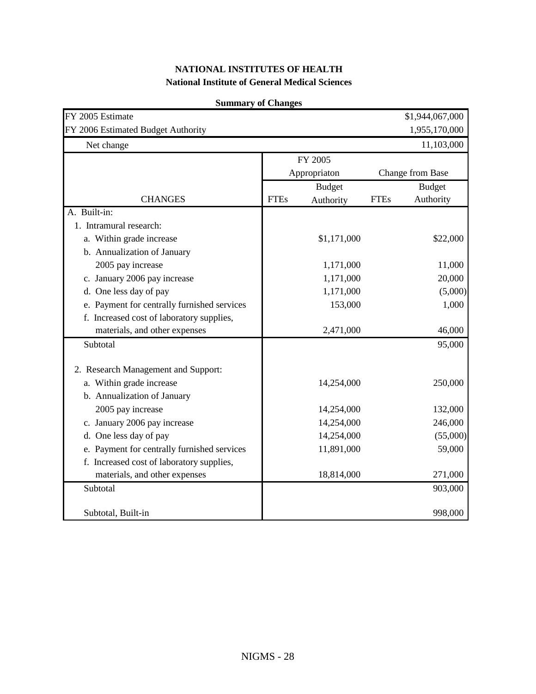| FY 2005 Estimate<br>FY 2006 Estimated Budget Authority |             |               |             | \$1,944,067,000<br>1,955,170,000 |
|--------------------------------------------------------|-------------|---------------|-------------|----------------------------------|
| Net change                                             |             |               |             | 11,103,000                       |
|                                                        |             | FY 2005       |             |                                  |
|                                                        |             | Appropriaton  |             | Change from Base                 |
|                                                        |             | <b>Budget</b> |             | <b>Budget</b>                    |
| <b>CHANGES</b>                                         | <b>FTEs</b> | Authority     | <b>FTEs</b> | Authority                        |
| A. Built-in:                                           |             |               |             |                                  |
| 1. Intramural research:                                |             |               |             |                                  |
| a. Within grade increase                               |             | \$1,171,000   |             | \$22,000                         |
| b. Annualization of January                            |             |               |             |                                  |
| 2005 pay increase                                      |             | 1,171,000     |             | 11,000                           |
| c. January 2006 pay increase                           |             | 1,171,000     |             | 20,000                           |
| d. One less day of pay                                 |             | 1,171,000     |             | (5,000)                          |
| e. Payment for centrally furnished services            |             | 153,000       |             | 1,000                            |
| f. Increased cost of laboratory supplies,              |             |               |             |                                  |
| materials, and other expenses                          |             | 2,471,000     |             | 46,000                           |
| Subtotal                                               |             |               |             | 95,000                           |
| 2. Research Management and Support:                    |             |               |             |                                  |
| a. Within grade increase                               |             | 14,254,000    |             | 250,000                          |
| b. Annualization of January                            |             |               |             |                                  |
| 2005 pay increase                                      |             | 14,254,000    |             | 132,000                          |
| c. January 2006 pay increase                           |             | 14,254,000    |             | 246,000                          |
| d. One less day of pay                                 |             | 14,254,000    |             | (55,000)                         |
| e. Payment for centrally furnished services            |             | 11,891,000    |             | 59,000                           |
| f. Increased cost of laboratory supplies,              |             |               |             |                                  |
| materials, and other expenses                          |             | 18,814,000    |             | 271,000                          |
| Subtotal                                               |             |               |             | 903,000                          |
| Subtotal, Built-in                                     |             |               |             | 998,000                          |

#### **Summary of Changes**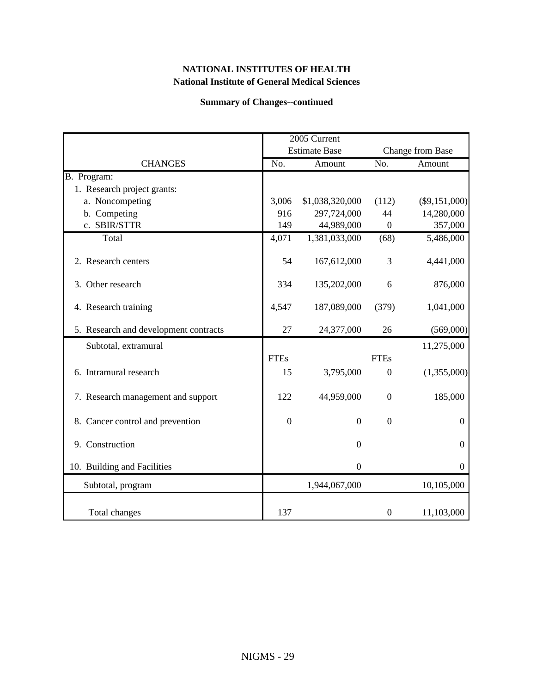#### **Summary of Changes--continued**

|                                       |                  | 2005 Current<br><b>Estimate Base</b> |                  | Change from Base |
|---------------------------------------|------------------|--------------------------------------|------------------|------------------|
| <b>CHANGES</b>                        | No.              | Amount                               | No.              | Amount           |
| B. Program:                           |                  |                                      |                  |                  |
| 1. Research project grants:           |                  |                                      |                  |                  |
| a. Noncompeting                       | 3,006            | \$1,038,320,000                      | (112)            | $(\$9,151,000)$  |
| b. Competing                          | 916              | 297,724,000                          | 44               | 14,280,000       |
| c. SBIR/STTR                          | 149              | 44,989,000                           | $\overline{0}$   | 357,000          |
| Total                                 | 4,071            | 1,381,033,000                        | (68)             | 5,486,000        |
| 2. Research centers                   | 54               | 167,612,000                          | 3                | 4,441,000        |
| 3. Other research                     | 334              | 135,202,000                          | 6                | 876,000          |
| 4. Research training                  | 4,547            | 187,089,000                          | (379)            | 1,041,000        |
| 5. Research and development contracts | 27               | 24,377,000                           | 26               | (569,000)        |
| Subtotal, extramural                  |                  |                                      |                  | 11,275,000       |
|                                       | <b>FTEs</b>      |                                      | <b>FTEs</b>      |                  |
| 6. Intramural research                | 15               | 3,795,000                            | $\overline{0}$   | (1,355,000)      |
| 7. Research management and support    | 122              | 44,959,000                           | $\boldsymbol{0}$ | 185,000          |
| 8. Cancer control and prevention      | $\boldsymbol{0}$ | $\overline{0}$                       | $\overline{0}$   | $\boldsymbol{0}$ |
| 9. Construction                       |                  | $\theta$                             |                  | $\boldsymbol{0}$ |
| 10. Building and Facilities           |                  | $\theta$                             |                  | $\mathbf{0}$     |
| Subtotal, program                     |                  | 1,944,067,000                        |                  | 10,105,000       |
| Total changes                         | 137              |                                      | $\boldsymbol{0}$ | 11,103,000       |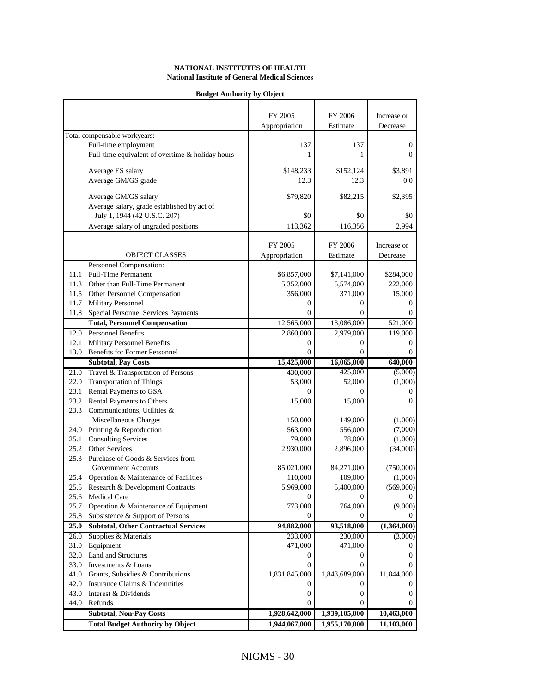#### **Budget Authority by Object**

|                              |                                                  | FY 2005       | FY 2006       | Increase or      |
|------------------------------|--------------------------------------------------|---------------|---------------|------------------|
|                              |                                                  |               |               |                  |
| Total compensable workyears: |                                                  | Appropriation | Estimate      | Decrease         |
|                              | Full-time employment                             | 137           | 137           | $\boldsymbol{0}$ |
|                              | Full-time equivalent of overtime & holiday hours | 1             | 1             | $\theta$         |
|                              |                                                  |               |               |                  |
|                              | Average ES salary                                | \$148,233     | \$152,124     | \$3,891          |
|                              | Average GM/GS grade                              | 12.3          | 12.3          | 0.0              |
|                              |                                                  |               |               |                  |
|                              | Average GM/GS salary                             | \$79,820      | \$82,215      | \$2,395          |
|                              | Average salary, grade established by act of      |               |               |                  |
|                              | July 1, 1944 (42 U.S.C. 207)                     | \$0           | \$0           | \$0              |
|                              | Average salary of ungraded positions             | 113,362       | 116,356       | 2,994            |
|                              |                                                  |               |               |                  |
|                              |                                                  | FY 2005       | FY 2006       | Increase or      |
|                              | <b>OBJECT CLASSES</b>                            | Appropriation | Estimate      | Decrease         |
|                              | Personnel Compensation:                          |               |               |                  |
| 11.1                         | <b>Full-Time Permanent</b>                       | \$6,857,000   | \$7,141,000   | \$284,000        |
|                              | 11.3 Other than Full-Time Permanent              | 5,352,000     | 5,574,000     | 222,000          |
|                              | 11.5 Other Personnel Compensation                | 356,000       | 371,000       | 15,000           |
| 11.7                         | Military Personnel                               | $\Omega$      | $\Omega$      | 0                |
| 11.8                         | Special Personnel Services Payments              | $\Omega$      | 0             | $\Omega$         |
|                              | <b>Total, Personnel Compensation</b>             | 12,565,000    | 13,086,000    | 521,000          |
| 12.0                         | <b>Personnel Benefits</b>                        | 2,860,000     | 2,979,000     | 119,000          |
| 12.1                         | <b>Military Personnel Benefits</b>               | 0             | $\mathbf{0}$  | 0                |
| 13.0                         | <b>Benefits for Former Personnel</b>             | $\Omega$      | 0             | 0                |
|                              | <b>Subtotal, Pay Costs</b>                       | 15,425,000    | 16,065,000    | 640,000          |
|                              | 21.0 Travel & Transportation of Persons          | 430,000       | 425,000       | (5,000)          |
| 22.0                         | <b>Transportation of Things</b>                  | 53,000        | 52,000        | (1,000)          |
| 23.1                         | Rental Payments to GSA                           | $\Omega$      | 0             | 0                |
| 23.2                         | Rental Payments to Others                        | 15,000        | 15,000        | $\Omega$         |
|                              | 23.3 Communications, Utilities &                 |               |               |                  |
|                              | Miscellaneous Charges                            | 150,000       | 149,000       | (1,000)          |
|                              | 24.0 Printing & Reproduction                     | 563,000       | 556,000       | (7,000)          |
| 25.1                         | <b>Consulting Services</b>                       | 79,000        | 78,000        | (1,000)          |
| 25.2<br>Other Services       |                                                  | 2,930,000     | 2,896,000     | (34,000)         |
| 25.3                         | Purchase of Goods & Services from                |               |               |                  |
|                              | <b>Government Accounts</b>                       | 85,021,000    | 84,271,000    | (750,000)        |
| 25.4                         | Operation & Maintenance of Facilities            | 110,000       | 109,000       | (1,000)          |
|                              | 25.5 Research & Development Contracts            | 5,969,000     | 5,400,000     | (569,000)        |
| 25.6 Medical Care            |                                                  | 0             | 0             | 0                |
| 25.7                         | Operation & Maintenance of Equipment             | 773,000       | 764,000       | (9,000)          |
| 25.8                         | Subsistence & Support of Persons                 | 0             | $\Omega$      | 0                |
| 25.0                         | <b>Subtotal, Other Contractual Services</b>      | 94,882,000    | 93,518,000    | (1,364,000)      |
| 26.0                         | Supplies & Materials                             | 233,000       | 230,000       | (3,000)          |
| 31.0 Equipment               |                                                  | 471,000       | 471,000       | 0                |
| 32.0 Land and Structures     |                                                  | 0             | 0             | 0                |
| 33.0                         | Investments & Loans                              | $\Omega$      | $\Omega$      | 0                |
| 41.0                         | Grants, Subsidies & Contributions                | 1,831,845,000 | 1,843,689,000 | 11,844,000       |
| 42.0                         | Insurance Claims & Indemnities                   | 0             | 0             | 0                |
| 43.0 Interest & Dividends    |                                                  | 0             | 0             | 0                |
| 44.0 Refunds                 |                                                  | 0             | 0             | 0                |
|                              | <b>Subtotal, Non-Pay Costs</b>                   | 1,928,642,000 | 1,939,105,000 | 10,463,000       |
|                              | <b>Total Budget Authority by Object</b>          | 1,944,067,000 | 1,955,170,000 | 11,103,000       |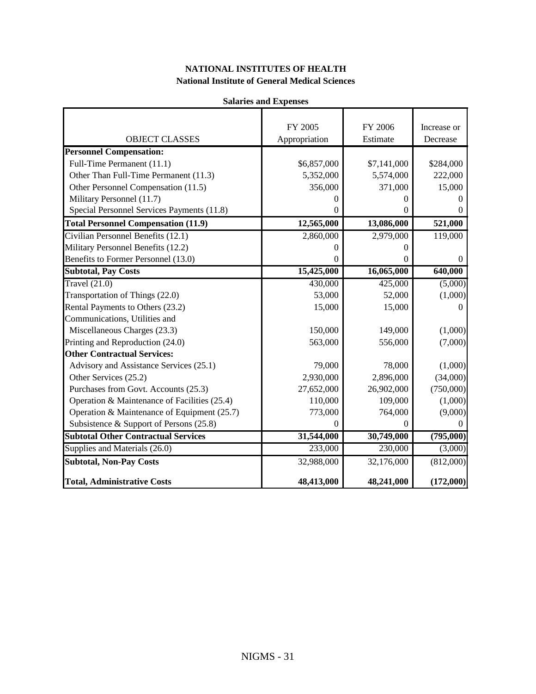|                                              | ланан кэ ани тлренэсэ |             |             |
|----------------------------------------------|-----------------------|-------------|-------------|
|                                              | FY 2005               | FY 2006     | Increase or |
| <b>OBJECT CLASSES</b>                        | Appropriation         | Estimate    | Decrease    |
| <b>Personnel Compensation:</b>               |                       |             |             |
| Full-Time Permanent (11.1)                   | \$6,857,000           | \$7,141,000 | \$284,000   |
| Other Than Full-Time Permanent (11.3)        | 5,352,000             | 5,574,000   | 222,000     |
| Other Personnel Compensation (11.5)          | 356,000               | 371,000     | 15,000      |
| Military Personnel (11.7)                    | $\Omega$              | 0           |             |
| Special Personnel Services Payments (11.8)   | $\Omega$              | 0           |             |
| <b>Total Personnel Compensation (11.9)</b>   | 12,565,000            | 13,086,000  | 521,000     |
| Civilian Personnel Benefits (12.1)           | 2,860,000             | 2,979,000   | 119,000     |
| Military Personnel Benefits (12.2)           | 0                     | 0           |             |
| Benefits to Former Personnel (13.0)          | $\theta$              | 0           | 0           |
| <b>Subtotal, Pay Costs</b>                   | 15,425,000            | 16,065,000  | 640,000     |
| Travel $(21.0)$                              | 430,000               | 425,000     | (5,000)     |
| Transportation of Things (22.0)              | 53,000                | 52,000      | (1,000)     |
| Rental Payments to Others (23.2)             | 15,000                | 15,000      | 0           |
| Communications, Utilities and                |                       |             |             |
| Miscellaneous Charges (23.3)                 | 150,000               | 149,000     | (1,000)     |
| Printing and Reproduction (24.0)             | 563,000               | 556,000     | (7,000)     |
| <b>Other Contractual Services:</b>           |                       |             |             |
| Advisory and Assistance Services (25.1)      | 79,000                | 78,000      | (1,000)     |
| Other Services (25.2)                        | 2,930,000             | 2,896,000   | (34,000)    |
| Purchases from Govt. Accounts (25.3)         | 27,652,000            | 26,902,000  | (750,000)   |
| Operation & Maintenance of Facilities (25.4) | 110,000               | 109,000     | (1,000)     |
| Operation & Maintenance of Equipment (25.7)  | 773,000               | 764,000     | (9,000)     |
| Subsistence & Support of Persons (25.8)      | $\Omega$              | $\Omega$    | 0           |
| <b>Subtotal Other Contractual Services</b>   | 31,544,000            | 30,749,000  | (795,000)   |
| Supplies and Materials (26.0)                | 233,000               | 230,000     | (3,000)     |
| <b>Subtotal, Non-Pay Costs</b>               | 32,988,000            | 32,176,000  | (812,000)   |
| <b>Total, Administrative Costs</b>           | 48,413,000            | 48,241,000  | (172,000)   |

#### **Salaries and Expenses**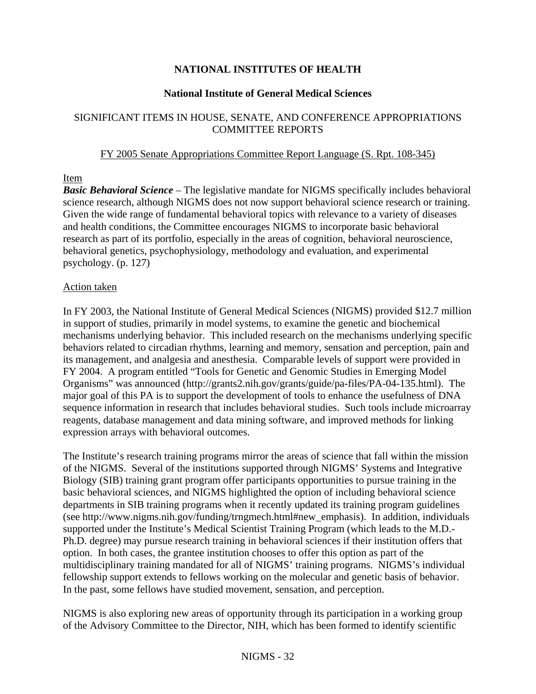## **NATIONAL INSTITUTES OF HEALTH**

#### **National Institute of General Medical Sciences**

## SIGNIFICANT ITEMS IN HOUSE, SENATE, AND CONFERENCE APPROPRIATIONS COMMITTEE REPORTS

#### FY 2005 Senate Appropriations Committee Report Language (S. Rpt. 108-345)

#### Item

*Basic Behavioral Science* – The legislative mandate for NIGMS specifically includes behavioral science research, although NIGMS does not now support behavioral science research or training. Given the wide range of fundamental behavioral topics with relevance to a variety of diseases and health conditions, the Committee encourages NIGMS to incorporate basic behavioral research as part of its portfolio, especially in the areas of cognition, behavioral neuroscience, behavioral genetics, psychophysiology, methodology and evaluation, and experimental psychology. (p. 127)

#### Action taken

In FY 2003, the National Institute of General Medical Sciences (NIGMS) provided \$12.7 million in support of studies, primarily in model systems, to examine the genetic and biochemical mechanisms underlying behavior. This included research on the mechanisms underlying specific behaviors related to circadian rhythms, learning and memory, sensation and perception, pain and its management, and analgesia and anesthesia. Comparable levels of support were provided in FY 2004. A program entitled "Tools for Genetic and Genomic Studies in Emerging Model Organisms" was announced (http://grants2.nih.gov/grants/guide/pa-files/PA-04-135.html). The major goal of this PA is to support the development of tools to enhance the usefulness of DNA sequence information in research that includes behavioral studies. Such tools include microarray reagents, database management and data mining software, and improved methods for linking expression arrays with behavioral outcomes.

The Institute's research training programs mirror the areas of science that fall within the mission of the NIGMS. Several of the institutions supported through NIGMS' Systems and Integrative Biology (SIB) training grant program offer participants opportunities to pursue training in the basic behavioral sciences, and NIGMS highlighted the option of including behavioral science departments in SIB training programs when it recently updated its training program guidelines (see http://www.nigms.nih.gov/funding/trngmech.html#new\_emphasis). In addition, individuals supported under the Institute's Medical Scientist Training Program (which leads to the M.D.- Ph.D. degree) may pursue research training in behavioral sciences if their institution offers that option. In both cases, the grantee institution chooses to offer this option as part of the multidisciplinary training mandated for all of NIGMS' training programs. NIGMS's individual fellowship support extends to fellows working on the molecular and genetic basis of behavior. In the past, some fellows have studied movement, sensation, and perception.

NIGMS is also exploring new areas of opportunity through its participation in a working group of the Advisory Committee to the Director, NIH, which has been formed to identify scientific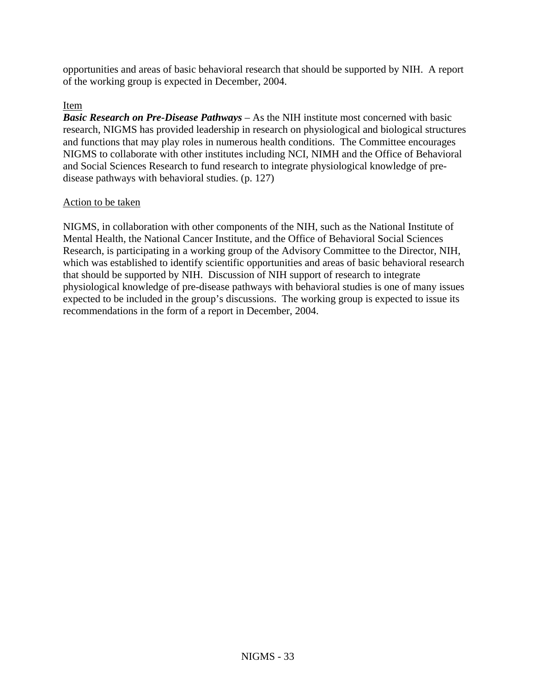opportunities and areas of basic behavioral research that should be supported by NIH. A report of the working group is expected in December, 2004.

#### Item

*Basic Research on Pre-Disease Pathways* – As the NIH institute most concerned with basic research, NIGMS has provided leadership in research on physiological and biological structures and functions that may play roles in numerous health conditions. The Committee encourages NIGMS to collaborate with other institutes including NCI, NIMH and the Office of Behavioral and Social Sciences Research to fund research to integrate physiological knowledge of predisease pathways with behavioral studies. (p. 127)

#### Action to be taken

NIGMS, in collaboration with other components of the NIH, such as the National Institute of Mental Health, the National Cancer Institute, and the Office of Behavioral Social Sciences Research, is participating in a working group of the Advisory Committee to the Director, NIH, which was established to identify scientific opportunities and areas of basic behavioral research that should be supported by NIH. Discussion of NIH support of research to integrate physiological knowledge of pre-disease pathways with behavioral studies is one of many issues expected to be included in the group's discussions. The working group is expected to issue its recommendations in the form of a report in December, 2004.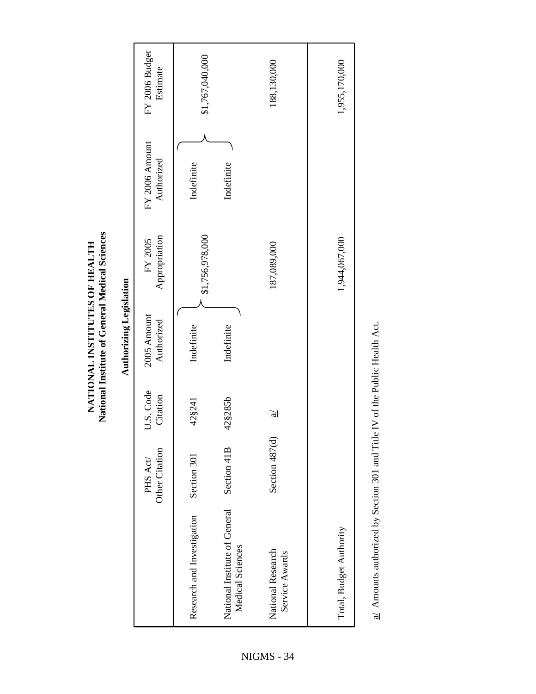**LTH A ES OF HE UT eral Medical Sciences INSTIT ALNONATI National Institute of Gen**

| D |
|---|
|   |
|   |
| ç |
|   |
|   |
|   |
|   |
|   |
|   |
|   |

|                                                   | Other Citation<br>PHS Act/ | U.S. Code<br>Citation | 2005 Amount<br>Authorized | Appropriation<br>FY 2005 | FY 2006 Amount<br>Authorized | FY 2006 Budget<br>Estimate |
|---------------------------------------------------|----------------------------|-----------------------|---------------------------|--------------------------|------------------------------|----------------------------|
| Research and Investigation                        | Section 301                | 42§241                | Indefinite                | \$1,756,978,000          | Indefinite                   | \$1,767,040,000            |
| National Institute of General<br>Medical Sciences | Section 41B                | 42§285b               | Indefinite                |                          | Indefinite                   |                            |
| National Research<br>Service Awards               | Section 487(d)             | $\mathfrak{g}$        |                           | 187,089,000              |                              | 188,130,000                |
| Total, Budget Authority                           |                            |                       |                           | 1,944,067,000            |                              | 1,955,170,000              |

the Public Health Act.  $\underline{a\prime}$  Amounts authorized by Section 301 and Title IV of the Public Health Act. nd Title IV of  $\frac{a}{2}$  Amounts authorized by Section 301 a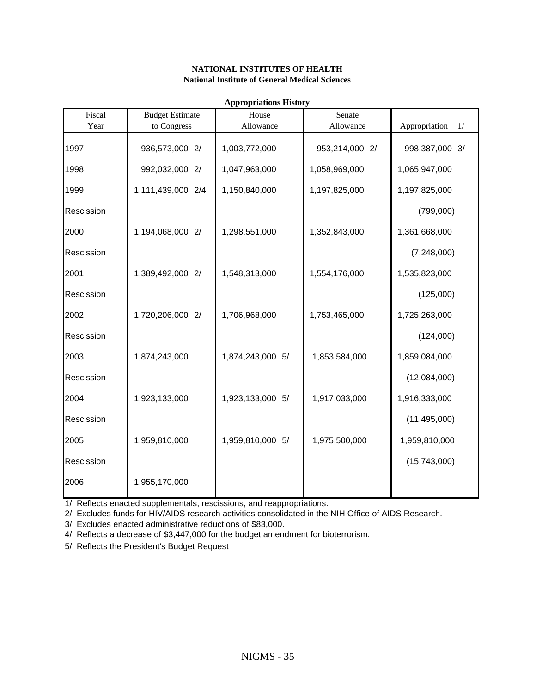| Fiscal     | <b>Budget Estimate</b> | House            | Senate         |                     |
|------------|------------------------|------------------|----------------|---------------------|
| Year       | to Congress            | Allowance        | Allowance      | Appropriation<br>1/ |
| 1997       | 936,573,000 2/         | 1,003,772,000    | 953,214,000 2/ | 998,387,000 3/      |
| 1998       | 992,032,000 2/         | 1,047,963,000    | 1,058,969,000  | 1,065,947,000       |
| 1999       | 1,111,439,000 2/4      | 1,150,840,000    | 1,197,825,000  | 1,197,825,000       |
| Rescission |                        |                  |                | (799,000)           |
| 2000       | 1,194,068,000 2/       | 1,298,551,000    | 1,352,843,000  | 1,361,668,000       |
| Rescission |                        |                  |                | (7,248,000)         |
| 2001       | 1,389,492,000 2/       | 1,548,313,000    | 1,554,176,000  | 1,535,823,000       |
| Rescission |                        |                  |                | (125,000)           |
| 2002       | 1,720,206,000 2/       | 1,706,968,000    | 1,753,465,000  | 1,725,263,000       |
| Rescission |                        |                  |                | (124,000)           |
| 2003       | 1,874,243,000          | 1,874,243,000 5/ | 1,853,584,000  | 1,859,084,000       |
| Rescission |                        |                  |                | (12,084,000)        |
| 2004       | 1,923,133,000          | 1,923,133,000 5/ | 1,917,033,000  | 1,916,333,000       |
| Rescission |                        |                  |                | (11, 495, 000)      |
| 2005       | 1,959,810,000          | 1,959,810,000 5/ | 1,975,500,000  | 1,959,810,000       |
| Rescission |                        |                  |                | (15,743,000)        |
| 2006       | 1,955,170,000          |                  |                |                     |

**Appropriations History**

1/ Reflects enacted supplementals, rescissions, and reappropriations.

2/ Excludes funds for HIV/AIDS research activities consolidated in the NIH Office of AIDS Research.

3/ Excludes enacted administrative reductions of \$83,000.

4/ Reflects a decrease of \$3,447,000 for the budget amendment for bioterrorism.

5/ Reflects the President's Budget Request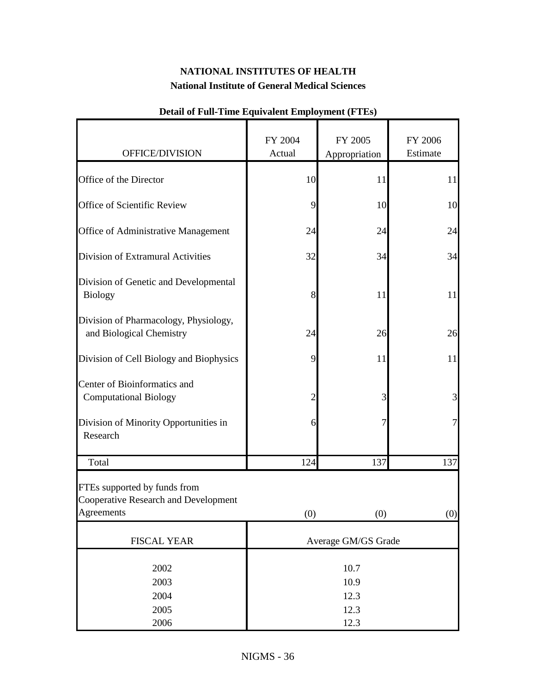| OFFICE/DIVISION                                                                    | FY 2004<br>Actual            | FY 2005<br>Appropriation | FY 2006<br>Estimate |
|------------------------------------------------------------------------------------|------------------------------|--------------------------|---------------------|
|                                                                                    |                              |                          |                     |
| Office of the Director                                                             | 10                           | 11                       | 11                  |
| Office of Scientific Review                                                        | 9                            | 10                       | 10                  |
| Office of Administrative Management                                                | 24                           | 24                       | 24                  |
| Division of Extramural Activities                                                  | 32                           | 34                       | 34                  |
| Division of Genetic and Developmental<br>Biology                                   | 8                            | 11                       | 11                  |
| Division of Pharmacology, Physiology,<br>and Biological Chemistry                  | 24                           | 26                       | 26                  |
| Division of Cell Biology and Biophysics                                            | 9                            | 11                       | 11                  |
| Center of Bioinformatics and<br><b>Computational Biology</b>                       | $\overline{2}$               | 3                        | $\overline{3}$      |
| Division of Minority Opportunities in<br>Research                                  | 6                            | 7                        | 7                   |
| Total                                                                              | 124                          | 137                      | 137                 |
| FTEs supported by funds from<br>Cooperative Research and Development<br>Agreements | (0)                          | (0)                      | (0)                 |
| <b>FISCAL YEAR</b>                                                                 | Average GM/GS Grade          |                          |                     |
| 2002<br>2003<br>2004<br>2005                                                       | 10.7<br>10.9<br>12.3<br>12.3 |                          |                     |
| 2006                                                                               | 12.3                         |                          |                     |

## **Detail of Full-Time Equivalent Employment (FTEs)**